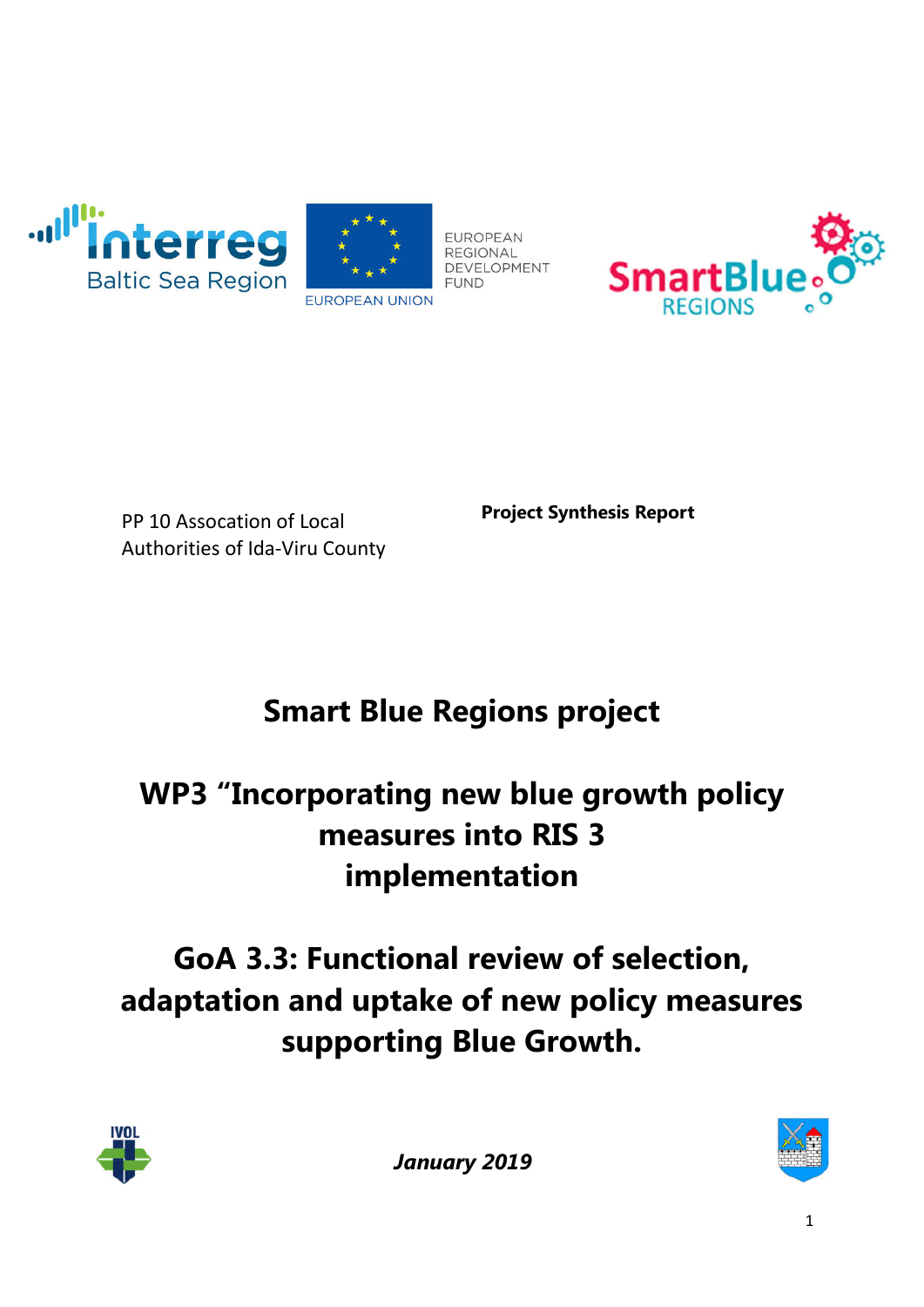





PP 10 Assocation of Local Authorities of Ida-Viru County **Project Synthesis Report**

# **Smart Blue Regions project**

## **WP3 "Incorporating new blue growth policy measures into RIS 3 implementation**

## **GoA 3.3: Functional review of selection, adaptation and uptake of new policy measures supporting Blue Growth.**



*January 2019*

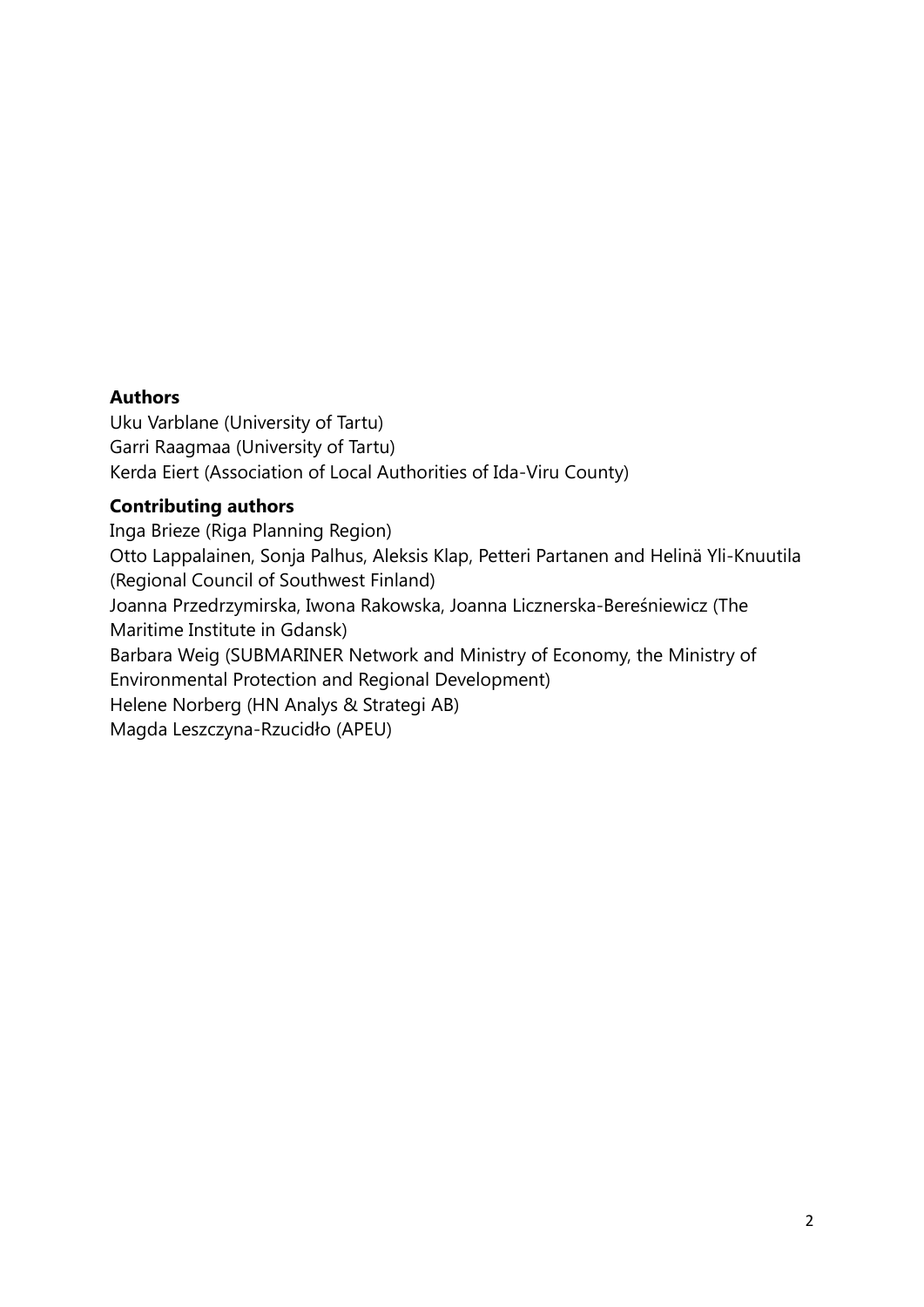#### **Authors**

Uku Varblane (University of Tartu) Garri Raagmaa (University of Tartu) Kerda Eiert (Association of Local Authorities of Ida-Viru County)

#### **Contributing authors**

Inga Brieze (Riga Planning Region) Otto Lappalainen, Sonja Palhus, Aleksis Klap, Petteri Partanen and Helinä Yli-Knuutila (Regional Council of Southwest Finland) Joanna Przedrzymirska, Iwona Rakowska, Joanna Licznerska-Bereśniewicz (The Maritime Institute in Gdansk) Barbara Weig (SUBMARINER Network and Ministry of Economy, the Ministry of Environmental Protection and Regional Development) Helene Norberg (HN Analys & Strategi AB) Magda Leszczyna-Rzucidło (APEU)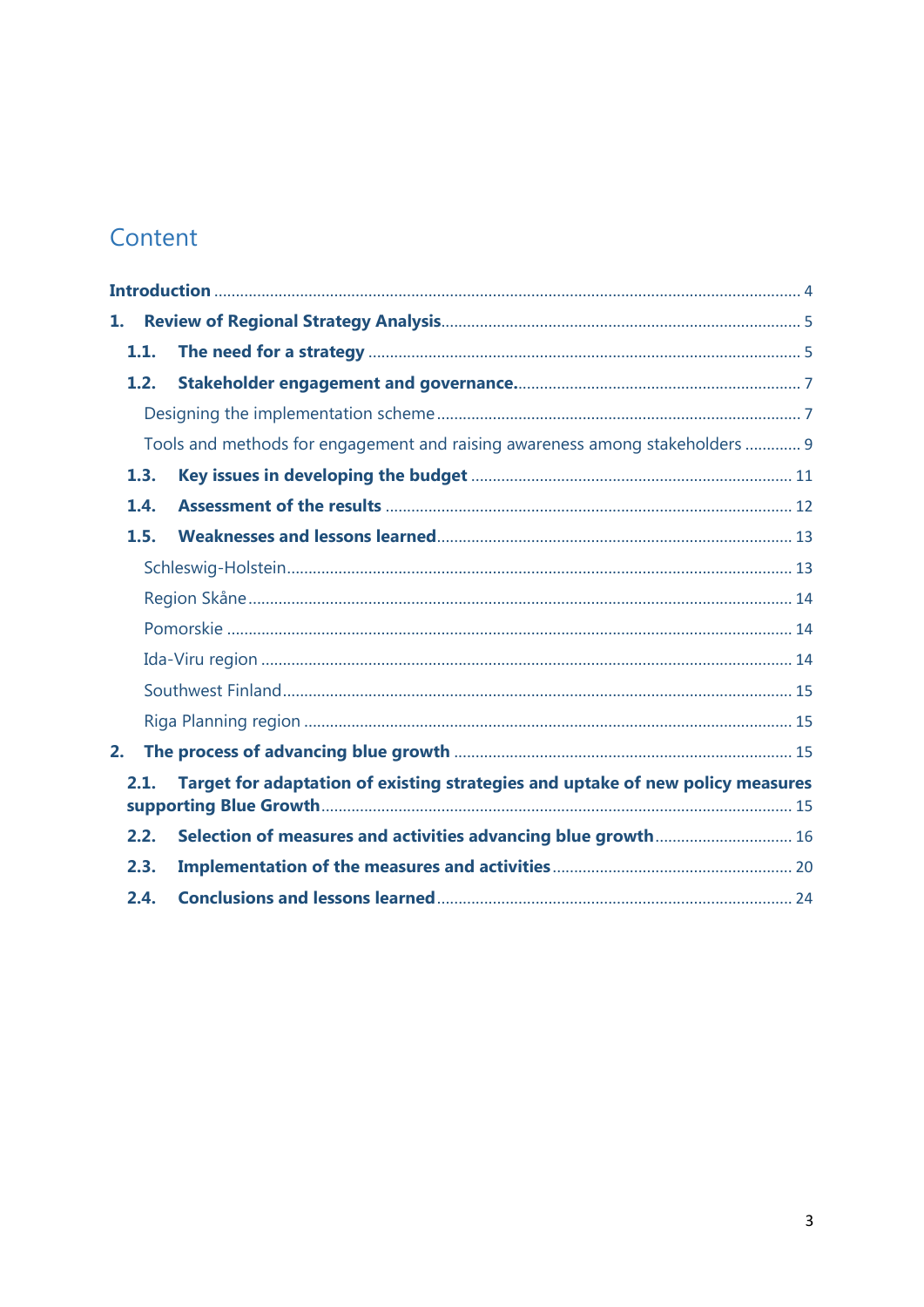## Content

| 1.                                                                                     |      |                                                                              |
|----------------------------------------------------------------------------------------|------|------------------------------------------------------------------------------|
|                                                                                        | 1.1. |                                                                              |
|                                                                                        | 1.2. |                                                                              |
|                                                                                        |      |                                                                              |
|                                                                                        |      | Tools and methods for engagement and raising awareness among stakeholders  9 |
|                                                                                        | 1.3. |                                                                              |
|                                                                                        | 1.4. |                                                                              |
|                                                                                        | 1.5. |                                                                              |
|                                                                                        |      |                                                                              |
|                                                                                        |      |                                                                              |
|                                                                                        |      |                                                                              |
|                                                                                        |      |                                                                              |
|                                                                                        |      |                                                                              |
|                                                                                        |      |                                                                              |
| 2.                                                                                     |      |                                                                              |
| Target for adaptation of existing strategies and uptake of new policy measures<br>2.1. |      |                                                                              |
|                                                                                        | 2.2. | Selection of measures and activities advancing blue growth 16                |
|                                                                                        | 2.3. |                                                                              |
|                                                                                        | 2.4. |                                                                              |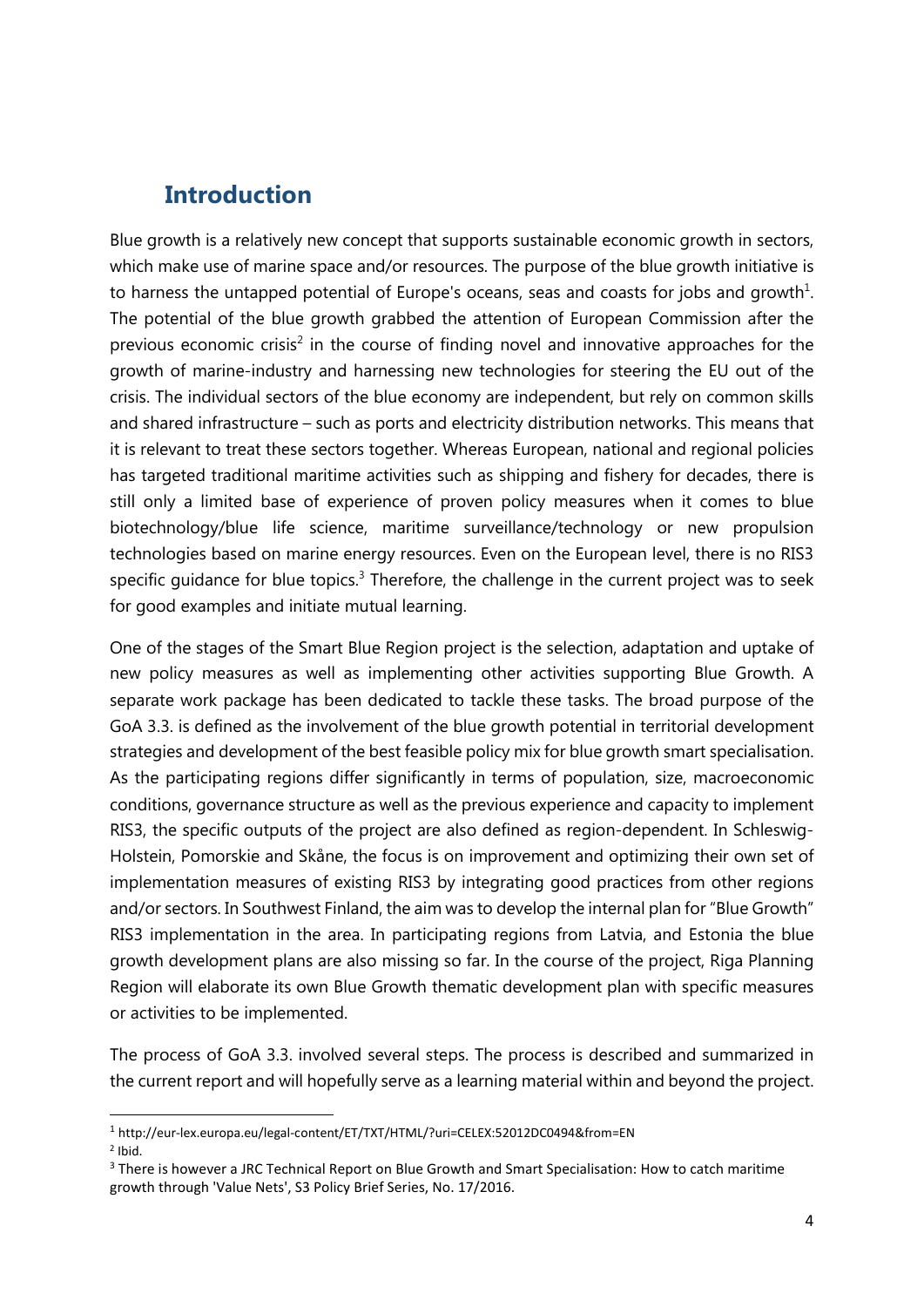### **Introduction**

Blue growth is a relatively new concept that supports sustainable economic growth in sectors, which make use of marine space and/or resources. The purpose of the blue growth initiative is to harness the untapped potential of Europe's oceans, seas and coasts for jobs and growth<sup>1</sup>. The potential of the blue growth grabbed the attention of European Commission after the previous economic crisis<sup>2</sup> in the course of finding novel and innovative approaches for the growth of marine-industry and harnessing new technologies for steering the EU out of the crisis. The individual sectors of the blue economy are independent, but rely on common skills and shared infrastructure – such as ports and electricity distribution networks. This means that it is relevant to treat these sectors together. Whereas European, national and regional policies has targeted traditional maritime activities such as shipping and fishery for decades, there is still only a limited base of experience of proven policy measures when it comes to blue biotechnology/blue life science, maritime surveillance/technology or new propulsion technologies based on marine energy resources. Even on the European level, there is no RIS3 specific quidance for blue topics.<sup>3</sup> Therefore, the challenge in the current project was to seek for good examples and initiate mutual learning.

One of the stages of the Smart Blue Region project is the selection, adaptation and uptake of new policy measures as well as implementing other activities supporting Blue Growth. A separate work package has been dedicated to tackle these tasks. The broad purpose of the GoA 3.3. is defined as the involvement of the blue growth potential in territorial development strategies and development of the best feasible policy mix for blue growth smart specialisation. As the participating regions differ significantly in terms of population, size, macroeconomic conditions, governance structure as well as the previous experience and capacity to implement RIS3, the specific outputs of the project are also defined as region-dependent. In Schleswig-Holstein, Pomorskie and Skåne, the focus is on improvement and optimizing their own set of implementation measures of existing RIS3 by integrating good practices from other regions and/or sectors. In Southwest Finland, the aim was to develop the internal plan for "Blue Growth" RIS3 implementation in the area. In participating regions from Latvia, and Estonia the blue growth development plans are also missing so far. In the course of the project, Riga Planning Region will elaborate its own Blue Growth thematic development plan with specific measures or activities to be implemented.

The process of GoA 3.3. involved several steps. The process is described and summarized in the current report and will hopefully serve as a learning material within and beyond the project.

 <sup>1</sup> http://eur-lex.europa.eu/legal-content/ET/TXT/HTML/?uri=CELEX:52012DC0494&from=EN

<sup>2</sup> Ibid.

<sup>&</sup>lt;sup>3</sup> There is however a JRC Technical Report on Blue Growth and Smart Specialisation: How to catch maritime growth through 'Value Nets', S3 Policy Brief Series, No. 17/2016.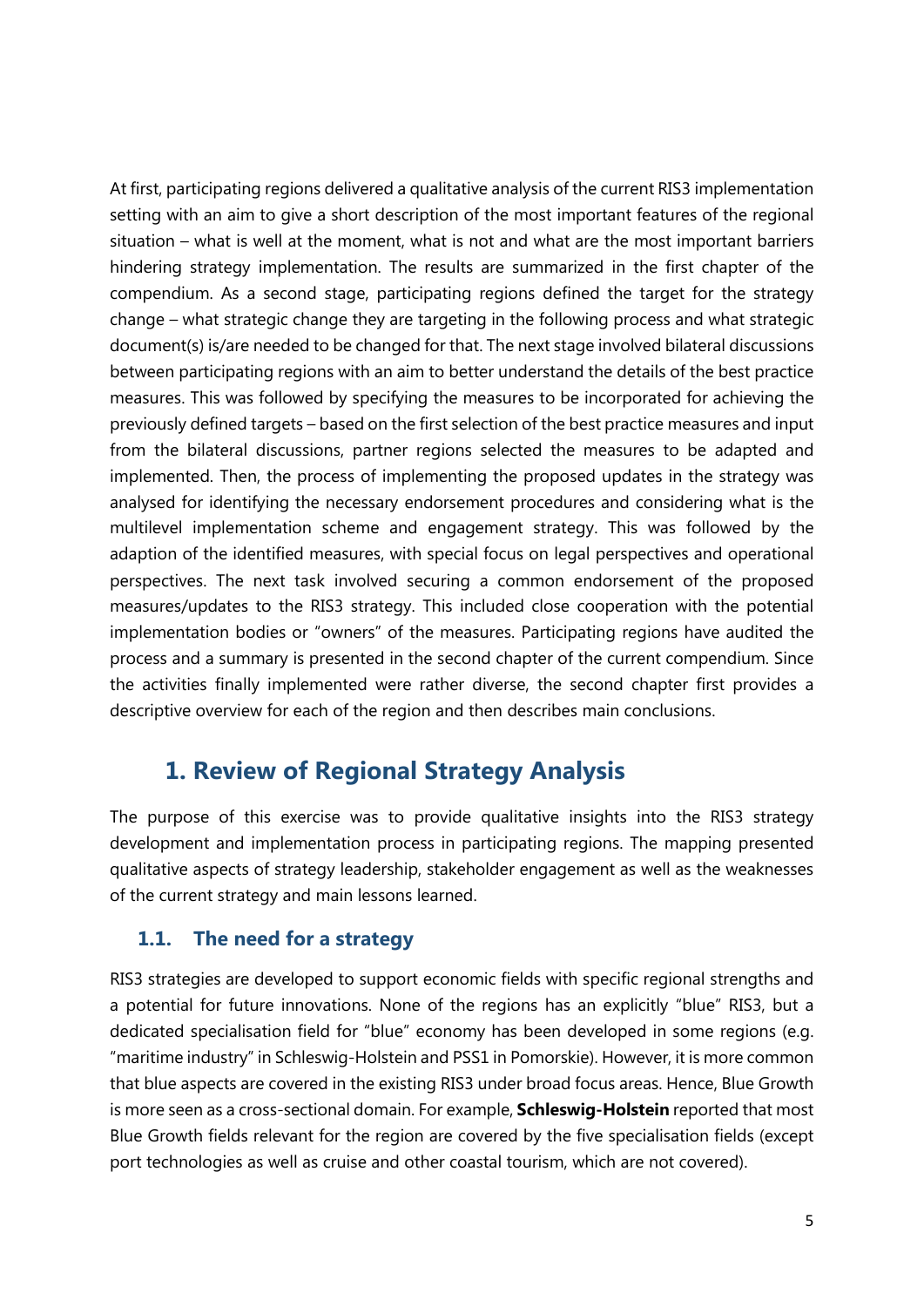At first, participating regions delivered a qualitative analysis of the current RIS3 implementation setting with an aim to give a short description of the most important features of the regional situation – what is well at the moment, what is not and what are the most important barriers hindering strategy implementation. The results are summarized in the first chapter of the compendium. As a second stage, participating regions defined the target for the strategy change – what strategic change they are targeting in the following process and what strategic document(s) is/are needed to be changed for that. The next stage involved bilateral discussions between participating regions with an aim to better understand the details of the best practice measures. This was followed by specifying the measures to be incorporated for achieving the previously defined targets – based on the first selection of the best practice measures and input from the bilateral discussions, partner regions selected the measures to be adapted and implemented. Then, the process of implementing the proposed updates in the strategy was analysed for identifying the necessary endorsement procedures and considering what is the multilevel implementation scheme and engagement strategy. This was followed by the adaption of the identified measures, with special focus on legal perspectives and operational perspectives. The next task involved securing a common endorsement of the proposed measures/updates to the RIS3 strategy. This included close cooperation with the potential implementation bodies or "owners" of the measures. Participating regions have audited the process and a summary is presented in the second chapter of the current compendium. Since the activities finally implemented were rather diverse, the second chapter first provides a descriptive overview for each of the region and then describes main conclusions.

### **1. Review of Regional Strategy Analysis**

The purpose of this exercise was to provide qualitative insights into the RIS3 strategy development and implementation process in participating regions. The mapping presented qualitative aspects of strategy leadership, stakeholder engagement as well as the weaknesses of the current strategy and main lessons learned.

#### **1.1. The need for a strategy**

RIS3 strategies are developed to support economic fields with specific regional strengths and a potential for future innovations. None of the regions has an explicitly "blue" RIS3, but a dedicated specialisation field for "blue" economy has been developed in some regions (e.g. "maritime industry" in Schleswig-Holstein and PSS1 in Pomorskie). However, it is more common that blue aspects are covered in the existing RIS3 under broad focus areas. Hence, Blue Growth is more seen as a cross-sectional domain. For example, **Schleswig-Holstein** reported that most Blue Growth fields relevant for the region are covered by the five specialisation fields (except port technologies as well as cruise and other coastal tourism, which are not covered).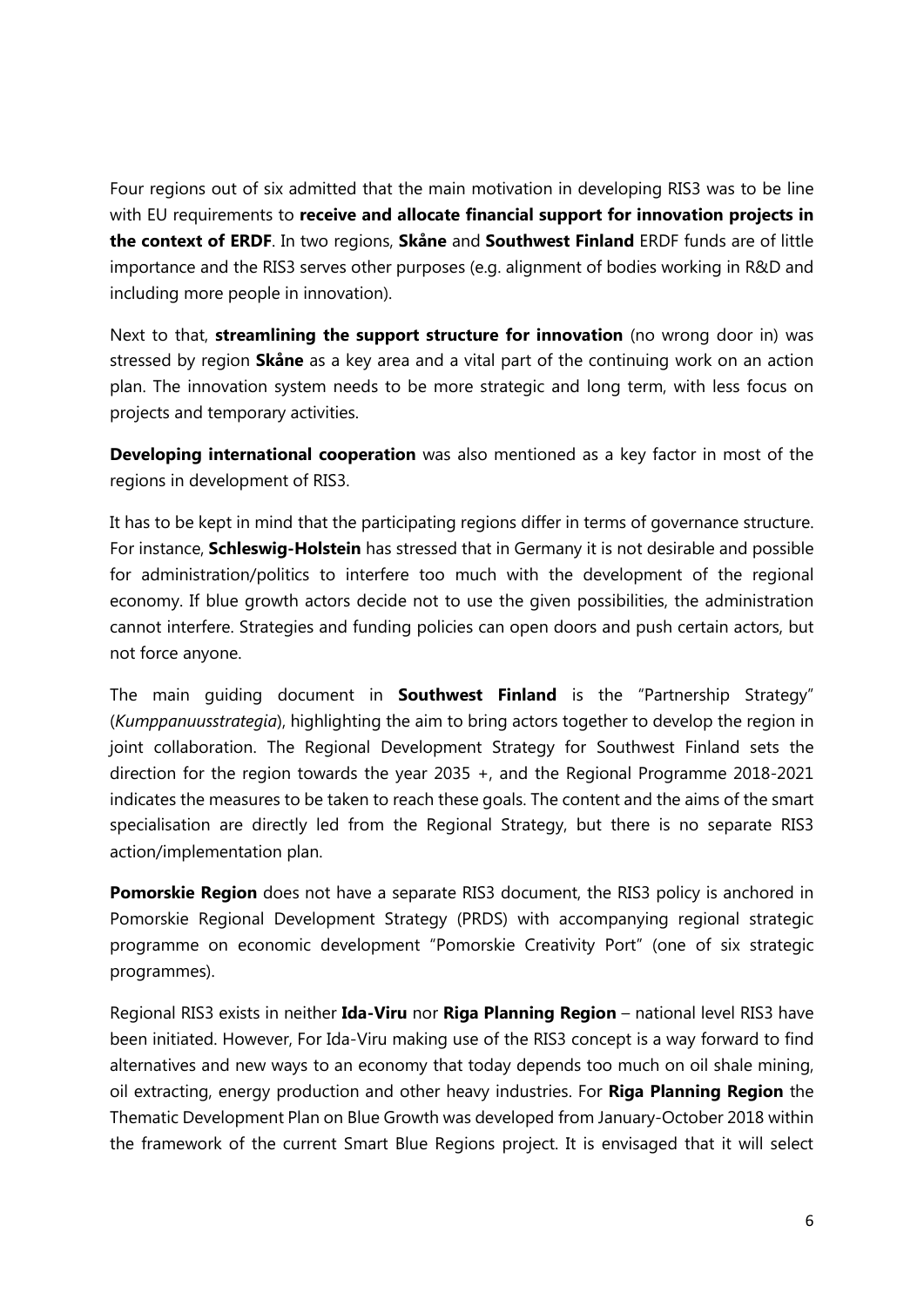Four regions out of six admitted that the main motivation in developing RIS3 was to be line with EU requirements to **receive and allocate financial support for innovation projects in the context of ERDF**. In two regions, **Skåne** and **Southwest Finland** ERDF funds are of little importance and the RIS3 serves other purposes (e.g. alignment of bodies working in R&D and including more people in innovation).

Next to that, **streamlining the support structure for innovation** (no wrong door in) was stressed by region **Skåne** as a key area and a vital part of the continuing work on an action plan. The innovation system needs to be more strategic and long term, with less focus on projects and temporary activities.

**Developing international cooperation** was also mentioned as a key factor in most of the regions in development of RIS3.

It has to be kept in mind that the participating regions differ in terms of governance structure. For instance, **Schleswig-Holstein** has stressed that in Germany it is not desirable and possible for administration/politics to interfere too much with the development of the regional economy. If blue growth actors decide not to use the given possibilities, the administration cannot interfere. Strategies and funding policies can open doors and push certain actors, but not force anyone.

The main guiding document in **Southwest Finland** is the "Partnership Strategy" (*Kumppanuusstrategia*), highlighting the aim to bring actors together to develop the region in joint collaboration. The Regional Development Strategy for Southwest Finland sets the direction for the region towards the year 2035 +, and the Regional Programme 2018-2021 indicates the measures to be taken to reach these goals. The content and the aims of the smart specialisation are directly led from the Regional Strategy, but there is no separate RIS3 action/implementation plan.

**Pomorskie Region** does not have a separate RIS3 document, the RIS3 policy is anchored in Pomorskie Regional Development Strategy (PRDS) with accompanying regional strategic programme on economic development "Pomorskie Creativity Port" (one of six strategic programmes).

Regional RIS3 exists in neither **Ida-Viru** nor **Riga Planning Region** – national level RIS3 have been initiated. However, For Ida-Viru making use of the RIS3 concept is a way forward to find alternatives and new ways to an economy that today depends too much on oil shale mining, oil extracting, energy production and other heavy industries. For **Riga Planning Region** the Thematic Development Plan on Blue Growth was developed from January-October 2018 within the framework of the current Smart Blue Regions project. It is envisaged that it will select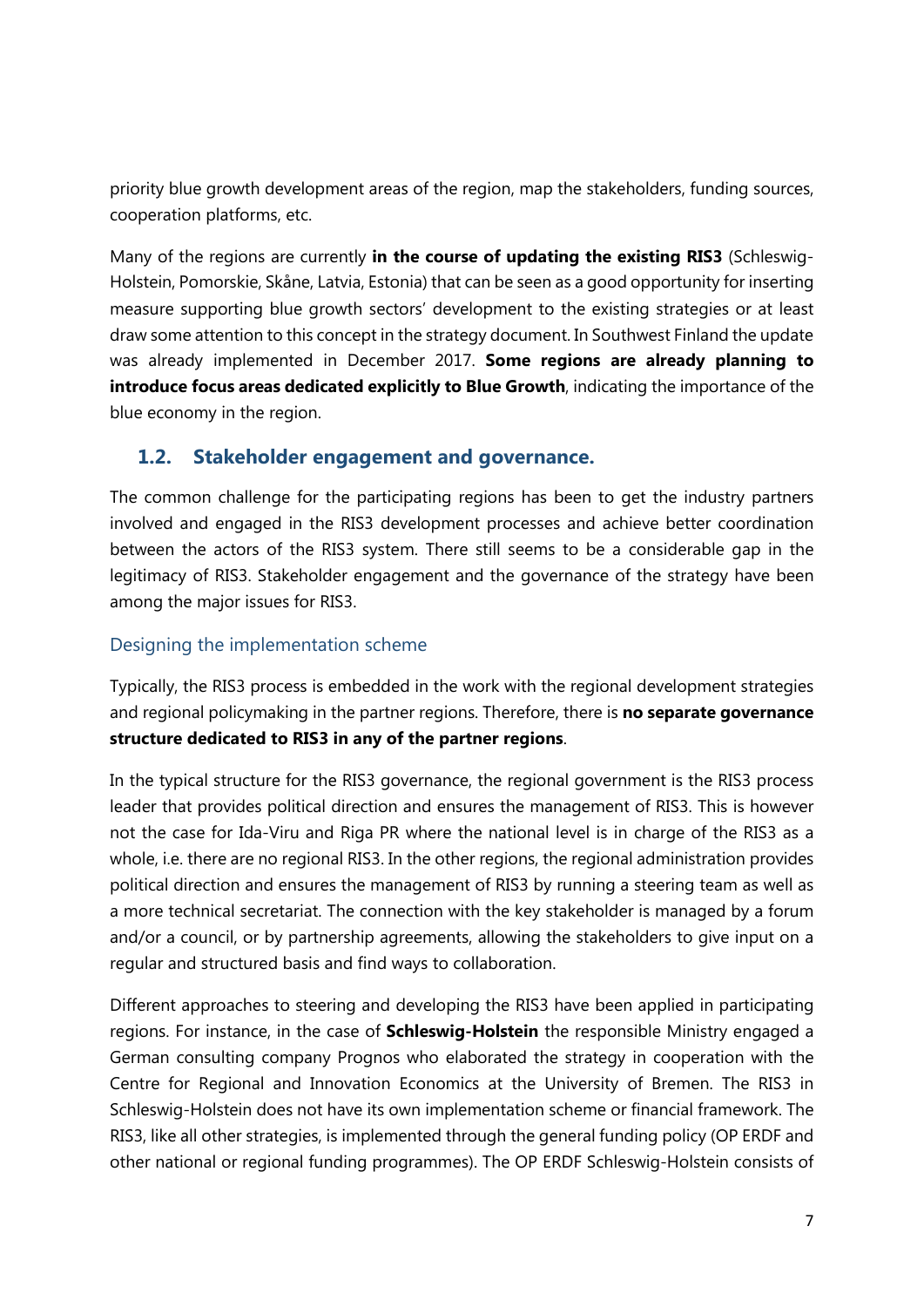priority blue growth development areas of the region, map the stakeholders, funding sources, cooperation platforms, etc.

Many of the regions are currently **in the course of updating the existing RIS3** (Schleswig-Holstein, Pomorskie, Skåne, Latvia, Estonia) that can be seen as a good opportunity for inserting measure supporting blue growth sectors' development to the existing strategies or at least draw some attention to this concept in the strategy document. In Southwest Finland the update was already implemented in December 2017. **Some regions are already planning to introduce focus areas dedicated explicitly to Blue Growth**, indicating the importance of the blue economy in the region.

#### **1.2. Stakeholder engagement and governance.**

The common challenge for the participating regions has been to get the industry partners involved and engaged in the RIS3 development processes and achieve better coordination between the actors of the RIS3 system. There still seems to be a considerable gap in the legitimacy of RIS3. Stakeholder engagement and the governance of the strategy have been among the major issues for RIS3.

#### Designing the implementation scheme

Typically, the RIS3 process is embedded in the work with the regional development strategies and regional policymaking in the partner regions. Therefore, there is **no separate governance structure dedicated to RIS3 in any of the partner regions**.

In the typical structure for the RIS3 governance, the regional government is the RIS3 process leader that provides political direction and ensures the management of RIS3. This is however not the case for Ida-Viru and Riga PR where the national level is in charge of the RIS3 as a whole, i.e. there are no regional RIS3. In the other regions, the regional administration provides political direction and ensures the management of RIS3 by running a steering team as well as a more technical secretariat. The connection with the key stakeholder is managed by a forum and/or a council, or by partnership agreements, allowing the stakeholders to give input on a regular and structured basis and find ways to collaboration.

Different approaches to steering and developing the RIS3 have been applied in participating regions. For instance, in the case of **Schleswig-Holstein** the responsible Ministry engaged a German consulting company Prognos who elaborated the strategy in cooperation with the Centre for Regional and Innovation Economics at the University of Bremen. The RIS3 in Schleswig-Holstein does not have its own implementation scheme or financial framework. The RIS3, like all other strategies, is implemented through the general funding policy (OP ERDF and other national or regional funding programmes). The OP ERDF Schleswig-Holstein consists of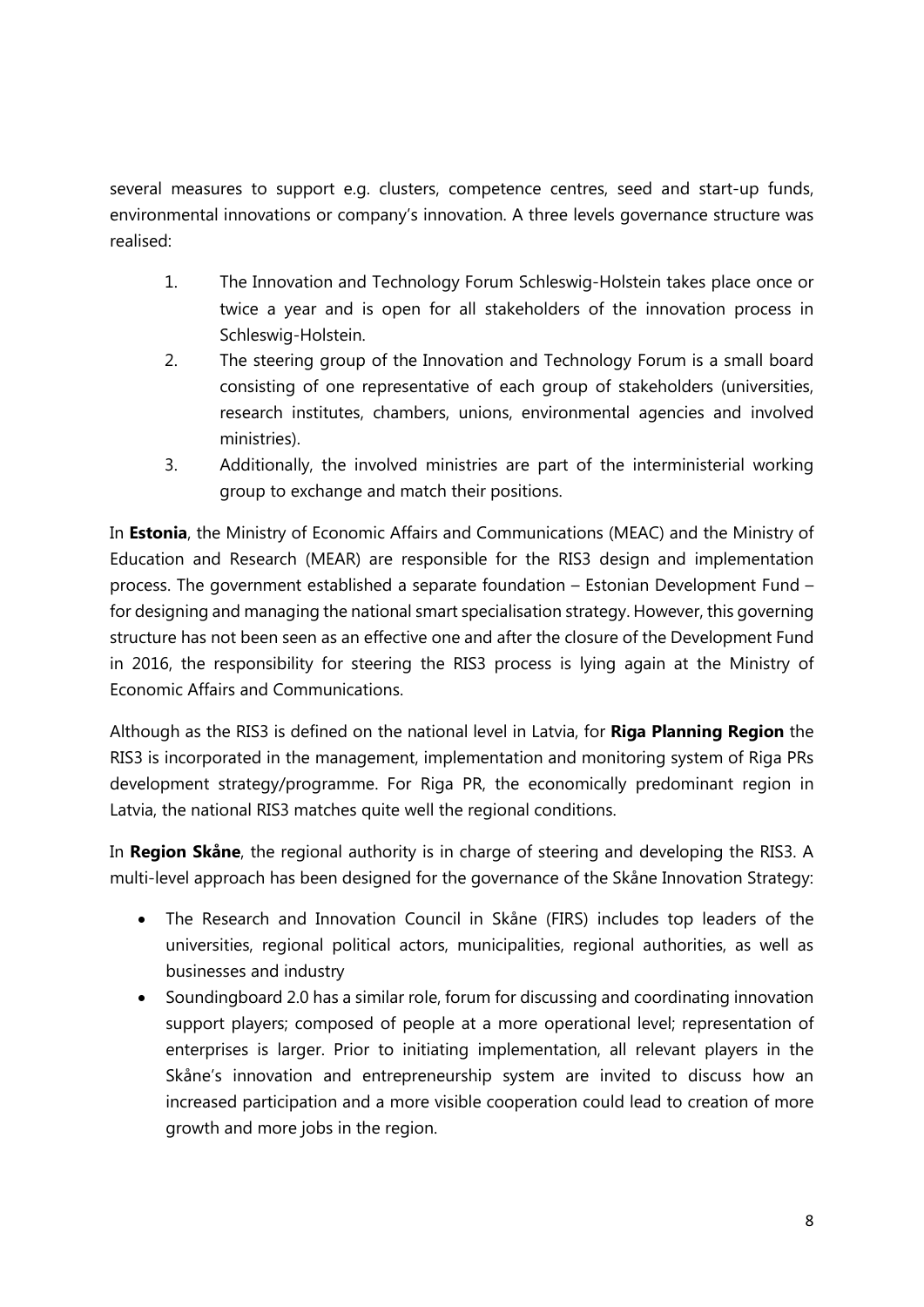several measures to support e.g. clusters, competence centres, seed and start-up funds, environmental innovations or company's innovation. A three levels governance structure was realised:

- 1. The Innovation and Technology Forum Schleswig-Holstein takes place once or twice a year and is open for all stakeholders of the innovation process in Schleswig-Holstein.
- 2. The steering group of the Innovation and Technology Forum is a small board consisting of one representative of each group of stakeholders (universities, research institutes, chambers, unions, environmental agencies and involved ministries).
- 3. Additionally, the involved ministries are part of the interministerial working group to exchange and match their positions.

In **Estonia**, the Ministry of Economic Affairs and Communications (MEAC) and the Ministry of Education and Research (MEAR) are responsible for the RIS3 design and implementation process. The government established a separate foundation – Estonian Development Fund – for designing and managing the national smart specialisation strategy. However, this governing structure has not been seen as an effective one and after the closure of the Development Fund in 2016, the responsibility for steering the RIS3 process is lying again at the Ministry of Economic Affairs and Communications.

Although as the RIS3 is defined on the national level in Latvia, for **Riga Planning Region** the RIS3 is incorporated in the management, implementation and monitoring system of Riga PRs development strategy/programme. For Riga PR, the economically predominant region in Latvia, the national RIS3 matches quite well the regional conditions.

In **Region Skåne**, the regional authority is in charge of steering and developing the RIS3. A multi-level approach has been designed for the governance of the Skåne Innovation Strategy:

- The Research and Innovation Council in Skåne (FIRS) includes top leaders of the universities, regional political actors, municipalities, regional authorities, as well as businesses and industry
- Soundingboard 2.0 has a similar role, forum for discussing and coordinating innovation support players; composed of people at a more operational level; representation of enterprises is larger. Prior to initiating implementation, all relevant players in the Skåne's innovation and entrepreneurship system are invited to discuss how an increased participation and a more visible cooperation could lead to creation of more growth and more jobs in the region.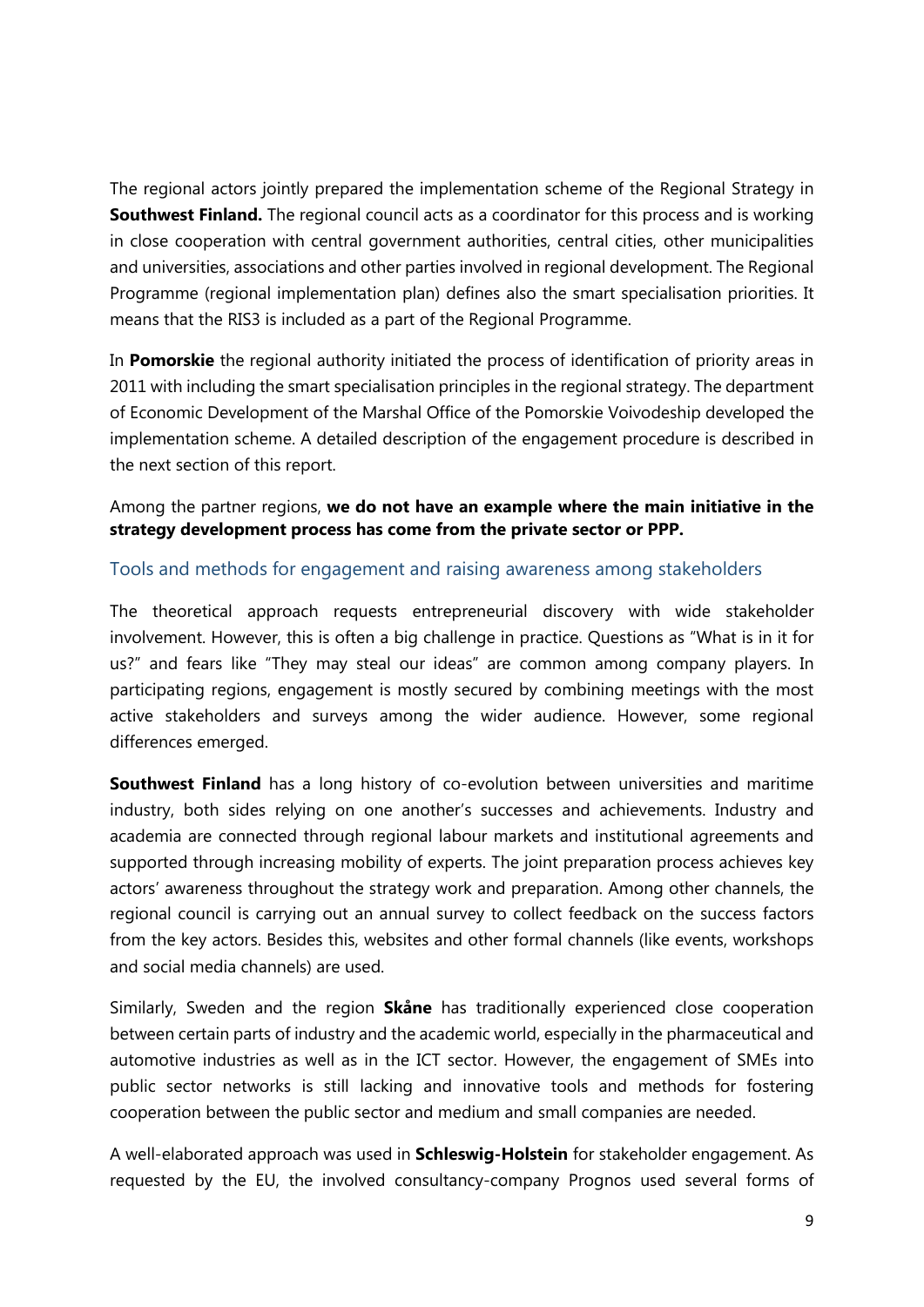The regional actors jointly prepared the implementation scheme of the Regional Strategy in **Southwest Finland.** The regional council acts as a coordinator for this process and is working in close cooperation with central government authorities, central cities, other municipalities and universities, associations and other parties involved in regional development. The Regional Programme (regional implementation plan) defines also the smart specialisation priorities. It means that the RIS3 is included as a part of the Regional Programme.

In **Pomorskie** the regional authority initiated the process of identification of priority areas in 2011 with including the smart specialisation principles in the regional strategy. The department of Economic Development of the Marshal Office of the Pomorskie Voivodeship developed the implementation scheme. A detailed description of the engagement procedure is described in the next section of this report.

Among the partner regions, **we do not have an example where the main initiative in the strategy development process has come from the private sector or PPP.**

#### Tools and methods for engagement and raising awareness among stakeholders

The theoretical approach requests entrepreneurial discovery with wide stakeholder involvement. However, this is often a big challenge in practice. Questions as "What is in it for us?" and fears like "They may steal our ideas" are common among company players. In participating regions, engagement is mostly secured by combining meetings with the most active stakeholders and surveys among the wider audience. However, some regional differences emerged.

**Southwest Finland** has a long history of co-evolution between universities and maritime industry, both sides relying on one another's successes and achievements. Industry and academia are connected through regional labour markets and institutional agreements and supported through increasing mobility of experts. The joint preparation process achieves key actors' awareness throughout the strategy work and preparation. Among other channels, the regional council is carrying out an annual survey to collect feedback on the success factors from the key actors. Besides this, websites and other formal channels (like events, workshops and social media channels) are used.

Similarly, Sweden and the region **Skåne** has traditionally experienced close cooperation between certain parts of industry and the academic world, especially in the pharmaceutical and automotive industries as well as in the ICT sector. However, the engagement of SMEs into public sector networks is still lacking and innovative tools and methods for fostering cooperation between the public sector and medium and small companies are needed.

A well-elaborated approach was used in **Schleswig-Holstein** for stakeholder engagement. As requested by the EU, the involved consultancy-company Prognos used several forms of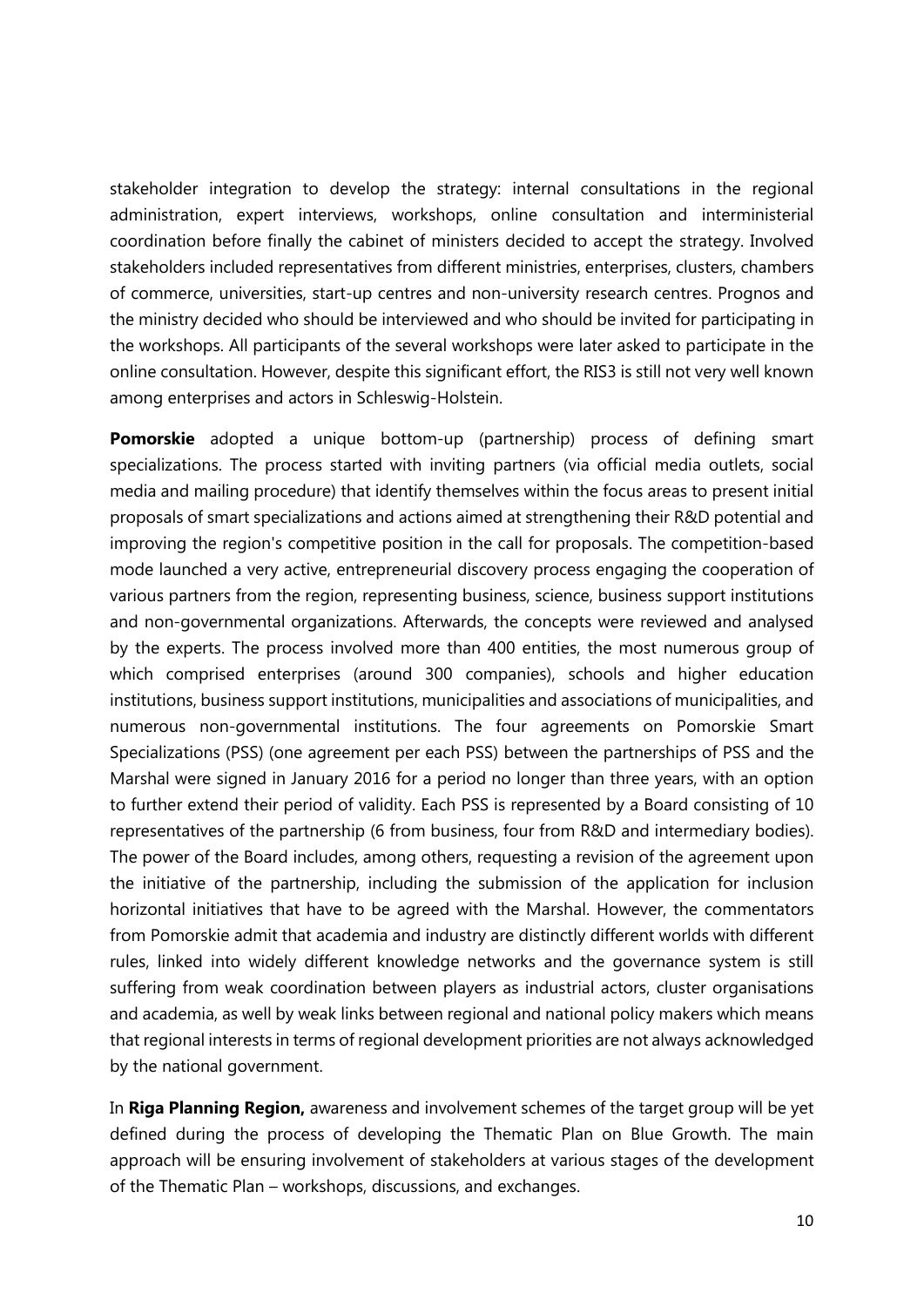stakeholder integration to develop the strategy: internal consultations in the regional administration, expert interviews, workshops, online consultation and interministerial coordination before finally the cabinet of ministers decided to accept the strategy. Involved stakeholders included representatives from different ministries, enterprises, clusters, chambers of commerce, universities, start-up centres and non-university research centres. Prognos and the ministry decided who should be interviewed and who should be invited for participating in the workshops. All participants of the several workshops were later asked to participate in the online consultation. However, despite this significant effort, the RIS3 is still not very well known among enterprises and actors in Schleswig-Holstein.

**Pomorskie** adopted a unique bottom-up (partnership) process of defining smart specializations. The process started with inviting partners (via official media outlets, social media and mailing procedure) that identify themselves within the focus areas to present initial proposals of smart specializations and actions aimed at strengthening their R&D potential and improving the region's competitive position in the call for proposals. The competition-based mode launched a very active, entrepreneurial discovery process engaging the cooperation of various partners from the region, representing business, science, business support institutions and non-governmental organizations. Afterwards, the concepts were reviewed and analysed by the experts. The process involved more than 400 entities, the most numerous group of which comprised enterprises (around 300 companies), schools and higher education institutions, business support institutions, municipalities and associations of municipalities, and numerous non-governmental institutions. The four agreements on Pomorskie Smart Specializations (PSS) (one agreement per each PSS) between the partnerships of PSS and the Marshal were signed in January 2016 for a period no longer than three years, with an option to further extend their period of validity. Each PSS is represented by a Board consisting of 10 representatives of the partnership (6 from business, four from R&D and intermediary bodies). The power of the Board includes, among others, requesting a revision of the agreement upon the initiative of the partnership, including the submission of the application for inclusion horizontal initiatives that have to be agreed with the Marshal. However, the commentators from Pomorskie admit that academia and industry are distinctly different worlds with different rules, linked into widely different knowledge networks and the governance system is still suffering from weak coordination between players as industrial actors, cluster organisations and academia, as well by weak links between regional and national policy makers which means that regional interests in terms of regional development priorities are not always acknowledged by the national government.

In **Riga Planning Region,** awareness and involvement schemes of the target group will be yet defined during the process of developing the Thematic Plan on Blue Growth. The main approach will be ensuring involvement of stakeholders at various stages of the development of the Thematic Plan – workshops, discussions, and exchanges.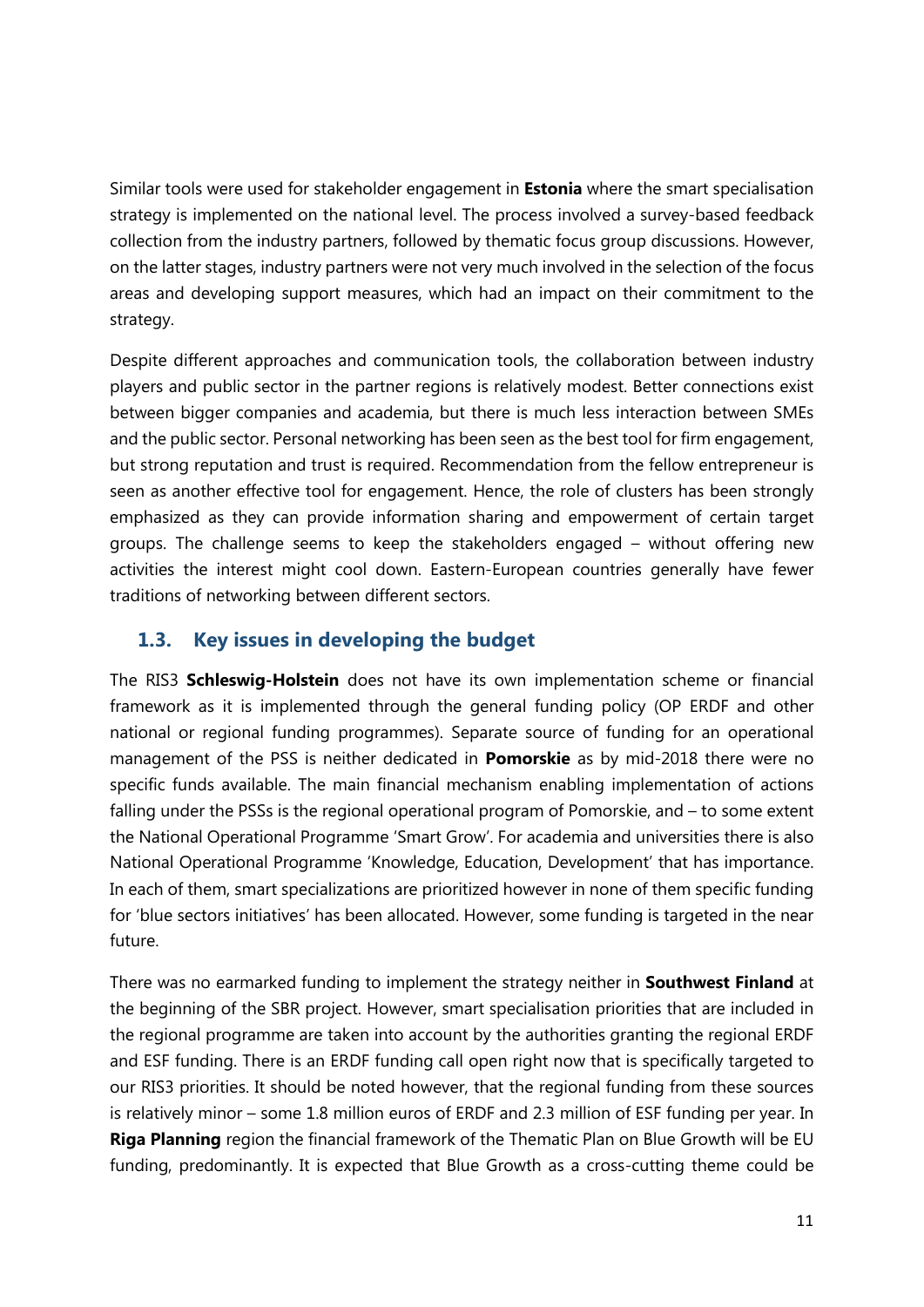Similar tools were used for stakeholder engagement in **Estonia** where the smart specialisation strategy is implemented on the national level. The process involved a survey-based feedback collection from the industry partners, followed by thematic focus group discussions. However, on the latter stages, industry partners were not very much involved in the selection of the focus areas and developing support measures, which had an impact on their commitment to the strategy.

Despite different approaches and communication tools, the collaboration between industry players and public sector in the partner regions is relatively modest. Better connections exist between bigger companies and academia, but there is much less interaction between SMEs and the public sector. Personal networking has been seen as the best tool for firm engagement, but strong reputation and trust is required. Recommendation from the fellow entrepreneur is seen as another effective tool for engagement. Hence, the role of clusters has been strongly emphasized as they can provide information sharing and empowerment of certain target groups. The challenge seems to keep the stakeholders engaged – without offering new activities the interest might cool down. Eastern-European countries generally have fewer traditions of networking between different sectors.

#### **1.3. Key issues in developing the budget**

The RIS3 **Schleswig-Holstein** does not have its own implementation scheme or financial framework as it is implemented through the general funding policy (OP ERDF and other national or regional funding programmes). Separate source of funding for an operational management of the PSS is neither dedicated in **Pomorskie** as by mid-2018 there were no specific funds available. The main financial mechanism enabling implementation of actions falling under the PSSs is the regional operational program of Pomorskie, and – to some extent the National Operational Programme 'Smart Grow'. For academia and universities there is also National Operational Programme 'Knowledge, Education, Development' that has importance. In each of them, smart specializations are prioritized however in none of them specific funding for 'blue sectors initiatives' has been allocated. However, some funding is targeted in the near future.

There was no earmarked funding to implement the strategy neither in **Southwest Finland** at the beginning of the SBR project. However, smart specialisation priorities that are included in the regional programme are taken into account by the authorities granting the regional ERDF and ESF funding. There is an ERDF funding call open right now that is specifically targeted to our RIS3 priorities. It should be noted however, that the regional funding from these sources is relatively minor – some 1.8 million euros of ERDF and 2.3 million of ESF funding per year. In **Riga Planning** region the financial framework of the Thematic Plan on Blue Growth will be EU funding, predominantly. It is expected that Blue Growth as a cross-cutting theme could be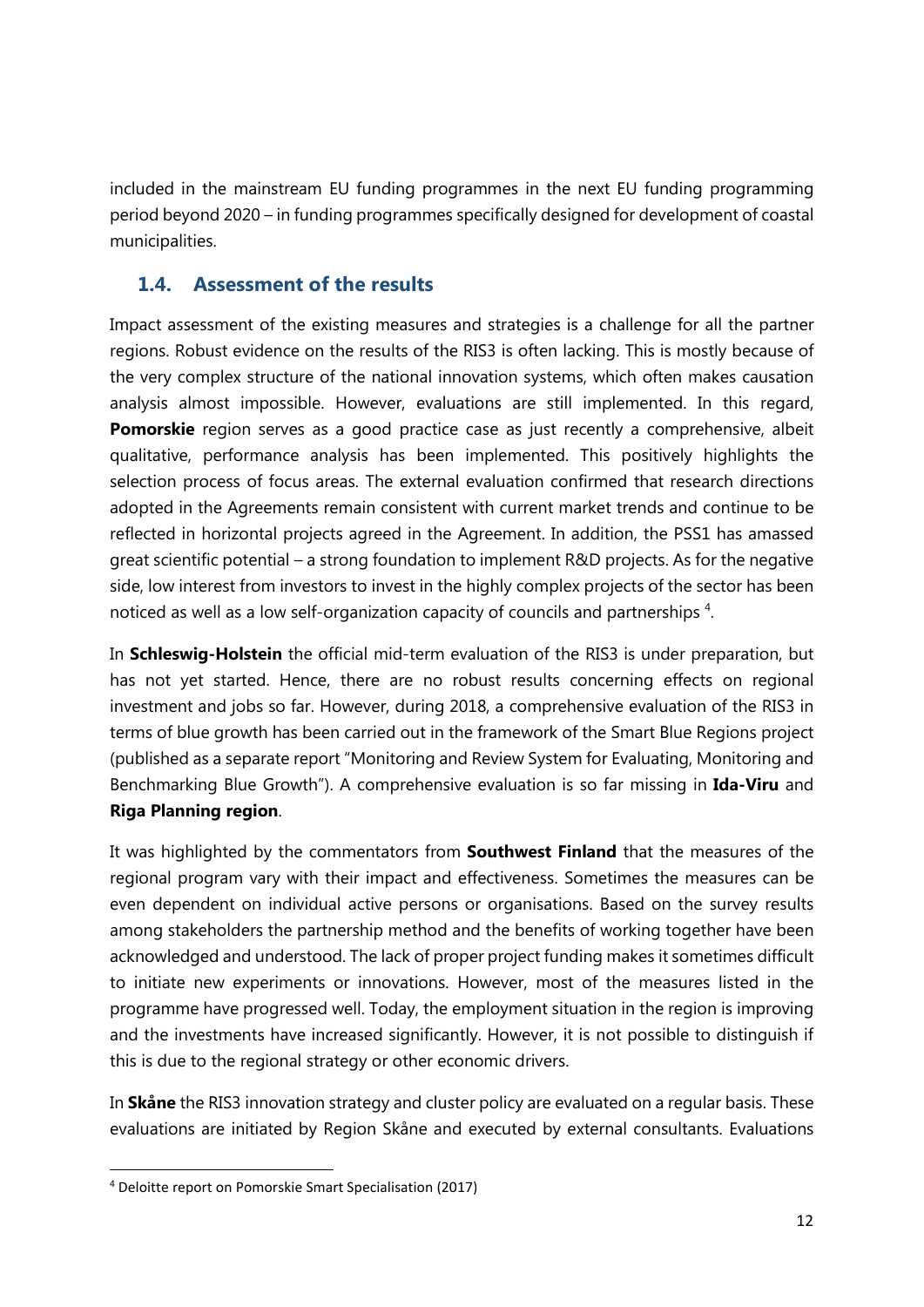included in the mainstream EU funding programmes in the next EU funding programming period beyond 2020 – in funding programmes specifically designed for development of coastal municipalities.

#### **1.4. Assessment of the results**

Impact assessment of the existing measures and strategies is a challenge for all the partner regions. Robust evidence on the results of the RIS3 is often lacking. This is mostly because of the very complex structure of the national innovation systems, which often makes causation analysis almost impossible. However, evaluations are still implemented. In this regard, **Pomorskie** region serves as a good practice case as just recently a comprehensive, albeit qualitative, performance analysis has been implemented. This positively highlights the selection process of focus areas. The external evaluation confirmed that research directions adopted in the Agreements remain consistent with current market trends and continue to be reflected in horizontal projects agreed in the Agreement. In addition, the PSS1 has amassed great scientific potential – a strong foundation to implement R&D projects. As for the negative side, low interest from investors to invest in the highly complex projects of the sector has been noticed as well as a low self-organization capacity of councils and partnerships<sup>4</sup>.

In **Schleswig-Holstein** the official mid-term evaluation of the RIS3 is under preparation, but has not yet started. Hence, there are no robust results concerning effects on regional investment and jobs so far. However, during 2018, a comprehensive evaluation of the RIS3 in terms of blue growth has been carried out in the framework of the Smart Blue Regions project (published as a separate report "Monitoring and Review System for Evaluating, Monitoring and Benchmarking Blue Growth"). A comprehensive evaluation is so far missing in **Ida-Viru** and **Riga Planning region**.

It was highlighted by the commentators from **Southwest Finland** that the measures of the regional program vary with their impact and effectiveness. Sometimes the measures can be even dependent on individual active persons or organisations. Based on the survey results among stakeholders the partnership method and the benefits of working together have been acknowledged and understood. The lack of proper project funding makes it sometimes difficult to initiate new experiments or innovations. However, most of the measures listed in the programme have progressed well. Today, the employment situation in the region is improving and the investments have increased significantly. However, it is not possible to distinguish if this is due to the regional strategy or other economic drivers.

In **Skåne** the RIS3 innovation strategy and cluster policy are evaluated on a regular basis. These evaluations are initiated by Region Skåne and executed by external consultants. Evaluations

 <sup>4</sup> Deloitte report on Pomorskie Smart Specialisation (2017)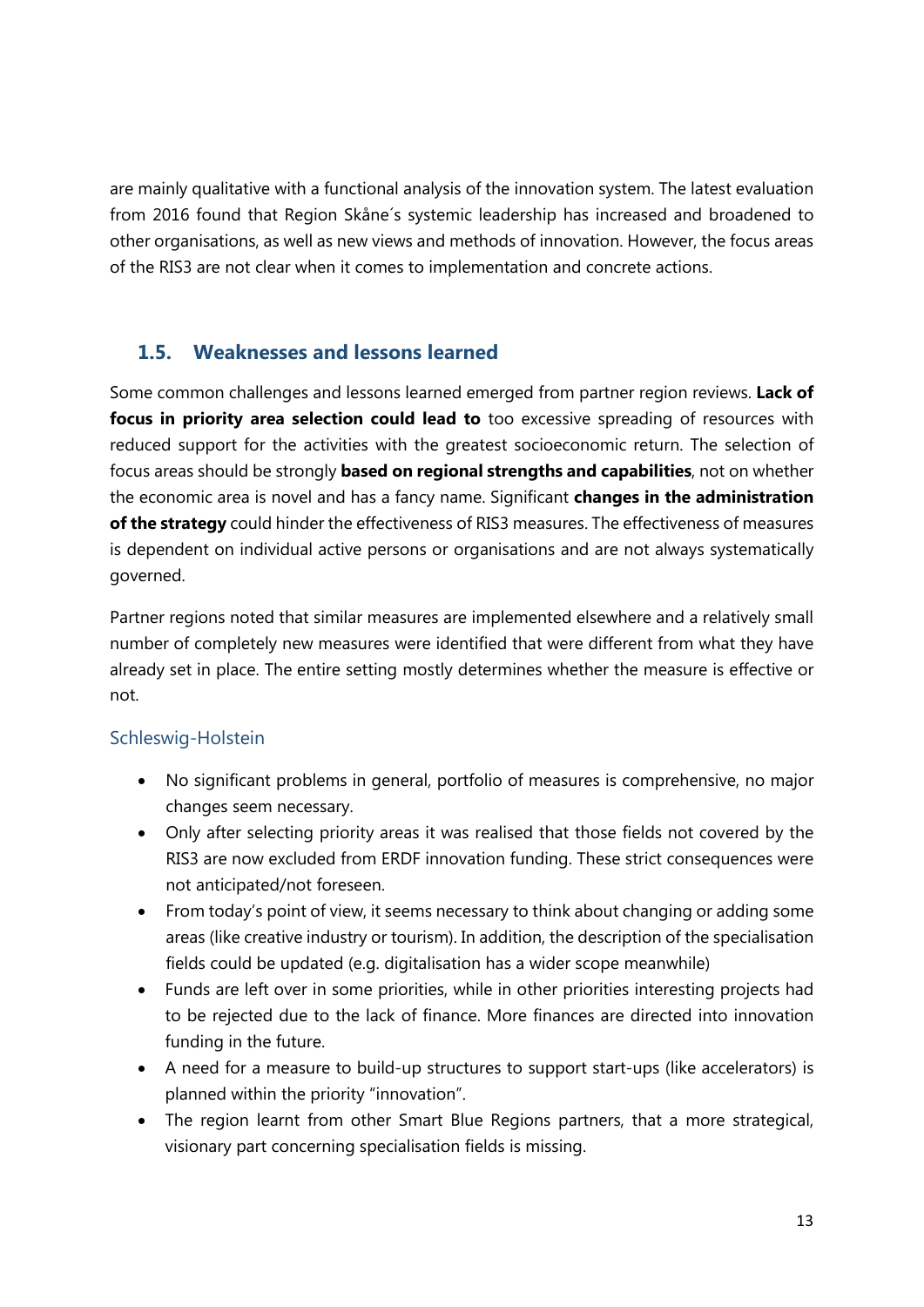are mainly qualitative with a functional analysis of the innovation system. The latest evaluation from 2016 found that Region Skåne´s systemic leadership has increased and broadened to other organisations, as well as new views and methods of innovation. However, the focus areas of the RIS3 are not clear when it comes to implementation and concrete actions.

#### **1.5. Weaknesses and lessons learned**

Some common challenges and lessons learned emerged from partner region reviews. **Lack of focus in priority area selection could lead to** too excessive spreading of resources with reduced support for the activities with the greatest socioeconomic return. The selection of focus areas should be strongly **based on regional strengths and capabilities**, not on whether the economic area is novel and has a fancy name. Significant **changes in the administration of the strategy** could hinder the effectiveness of RIS3 measures. The effectiveness of measures is dependent on individual active persons or organisations and are not always systematically governed.

Partner regions noted that similar measures are implemented elsewhere and a relatively small number of completely new measures were identified that were different from what they have already set in place. The entire setting mostly determines whether the measure is effective or not.

#### Schleswig-Holstein

- No significant problems in general, portfolio of measures is comprehensive, no major changes seem necessary.
- Only after selecting priority areas it was realised that those fields not covered by the RIS3 are now excluded from ERDF innovation funding. These strict consequences were not anticipated/not foreseen.
- From today's point of view, it seems necessary to think about changing or adding some areas (like creative industry or tourism). In addition, the description of the specialisation fields could be updated (e.g. digitalisation has a wider scope meanwhile)
- Funds are left over in some priorities, while in other priorities interesting projects had to be rejected due to the lack of finance. More finances are directed into innovation funding in the future.
- A need for a measure to build-up structures to support start-ups (like accelerators) is planned within the priority "innovation".
- The region learnt from other Smart Blue Regions partners, that a more strategical, visionary part concerning specialisation fields is missing.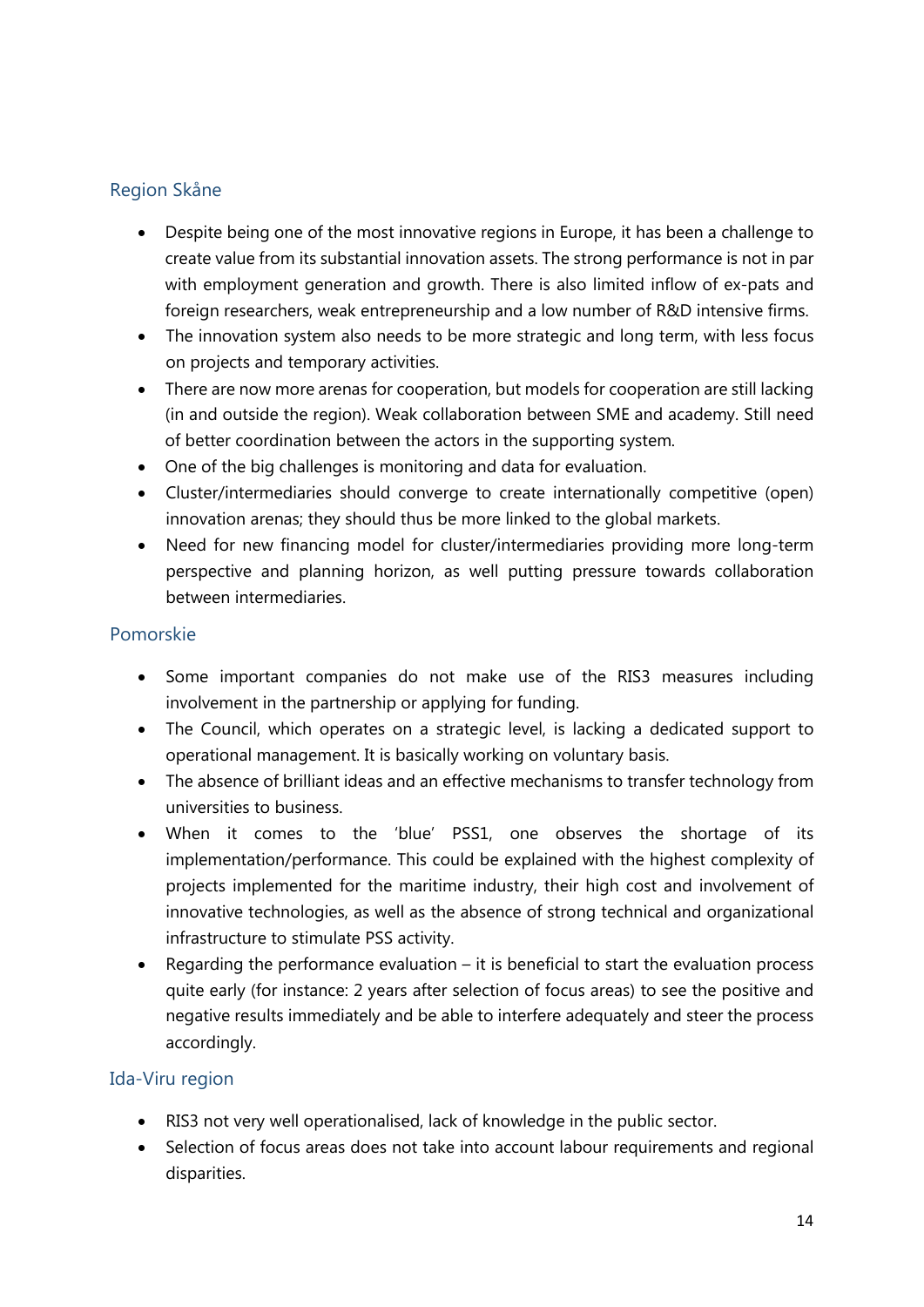#### Region Skåne

- Despite being one of the most innovative regions in Europe, it has been a challenge to create value from its substantial innovation assets. The strong performance is not in par with employment generation and growth. There is also limited inflow of ex-pats and foreign researchers, weak entrepreneurship and a low number of R&D intensive firms.
- The innovation system also needs to be more strategic and long term, with less focus on projects and temporary activities.
- There are now more arenas for cooperation, but models for cooperation are still lacking (in and outside the region). Weak collaboration between SME and academy. Still need of better coordination between the actors in the supporting system.
- One of the big challenges is monitoring and data for evaluation.
- Cluster/intermediaries should converge to create internationally competitive (open) innovation arenas; they should thus be more linked to the global markets.
- Need for new financing model for cluster/intermediaries providing more long-term perspective and planning horizon, as well putting pressure towards collaboration between intermediaries.

#### Pomorskie

- Some important companies do not make use of the RIS3 measures including involvement in the partnership or applying for funding.
- The Council, which operates on a strategic level, is lacking a dedicated support to operational management. It is basically working on voluntary basis.
- The absence of brilliant ideas and an effective mechanisms to transfer technology from universities to business.
- When it comes to the 'blue' PSS1, one observes the shortage of its implementation/performance. This could be explained with the highest complexity of projects implemented for the maritime industry, their high cost and involvement of innovative technologies, as well as the absence of strong technical and organizational infrastructure to stimulate PSS activity.
- Regarding the performance evaluation  $-$  it is beneficial to start the evaluation process quite early (for instance: 2 years after selection of focus areas) to see the positive and negative results immediately and be able to interfere adequately and steer the process accordingly.

#### Ida-Viru region

- RIS3 not very well operationalised, lack of knowledge in the public sector.
- Selection of focus areas does not take into account labour requirements and regional disparities.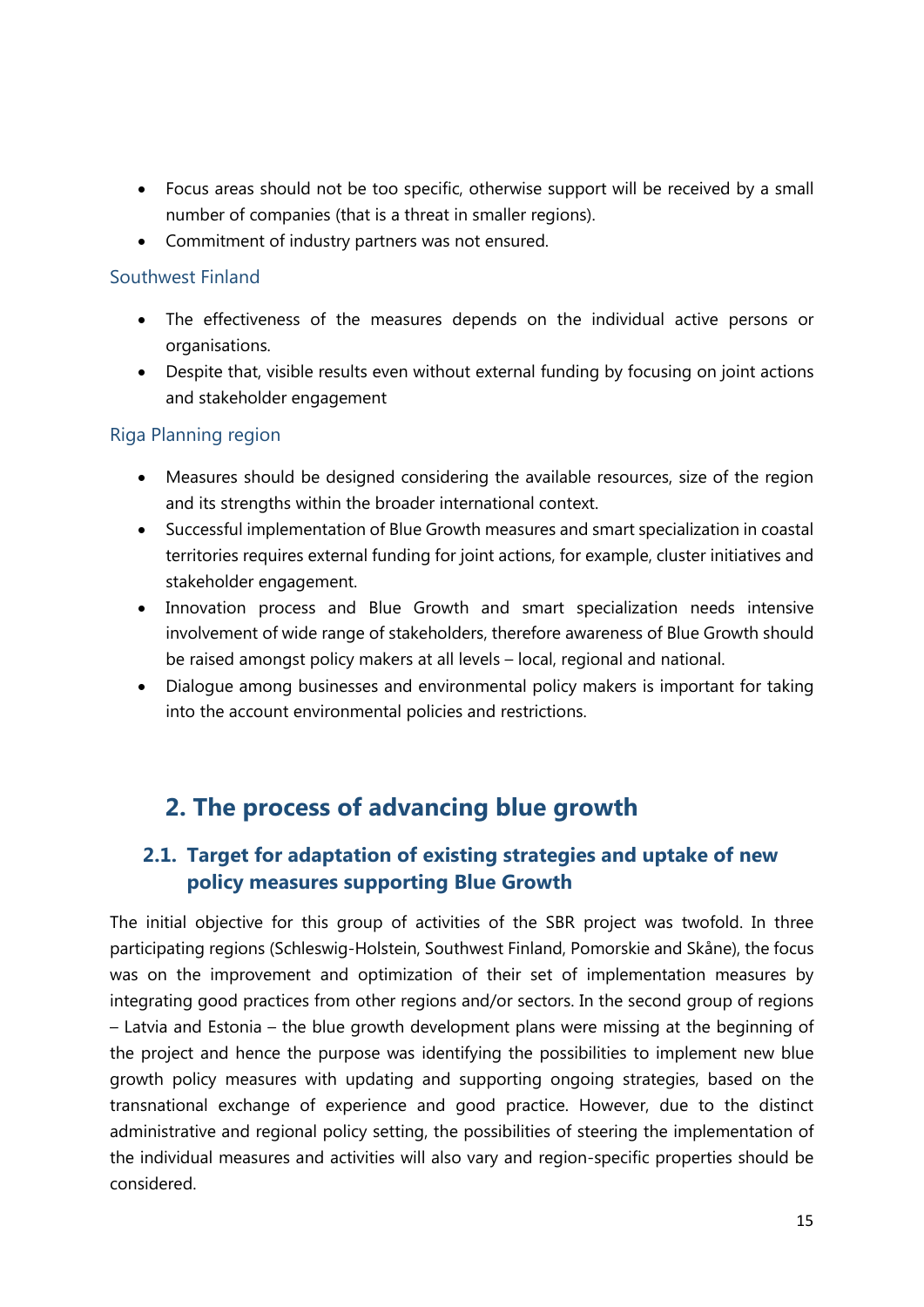- Focus areas should not be too specific, otherwise support will be received by a small number of companies (that is a threat in smaller regions).
- Commitment of industry partners was not ensured.

#### Southwest Finland

- The effectiveness of the measures depends on the individual active persons or organisations.
- Despite that, visible results even without external funding by focusing on joint actions and stakeholder engagement

#### Riga Planning region

- Measures should be designed considering the available resources, size of the region and its strengths within the broader international context.
- Successful implementation of Blue Growth measures and smart specialization in coastal territories requires external funding for joint actions, for example, cluster initiatives and stakeholder engagement.
- Innovation process and Blue Growth and smart specialization needs intensive involvement of wide range of stakeholders, therefore awareness of Blue Growth should be raised amongst policy makers at all levels – local, regional and national.
- Dialogue among businesses and environmental policy makers is important for taking into the account environmental policies and restrictions.

### **2. The process of advancing blue growth**

#### **2.1. Target for adaptation of existing strategies and uptake of new policy measures supporting Blue Growth**

The initial objective for this group of activities of the SBR project was twofold. In three participating regions (Schleswig-Holstein, Southwest Finland, Pomorskie and Skåne), the focus was on the improvement and optimization of their set of implementation measures by integrating good practices from other regions and/or sectors. In the second group of regions – Latvia and Estonia – the blue growth development plans were missing at the beginning of the project and hence the purpose was identifying the possibilities to implement new blue growth policy measures with updating and supporting ongoing strategies, based on the transnational exchange of experience and good practice. However, due to the distinct administrative and regional policy setting, the possibilities of steering the implementation of the individual measures and activities will also vary and region-specific properties should be considered.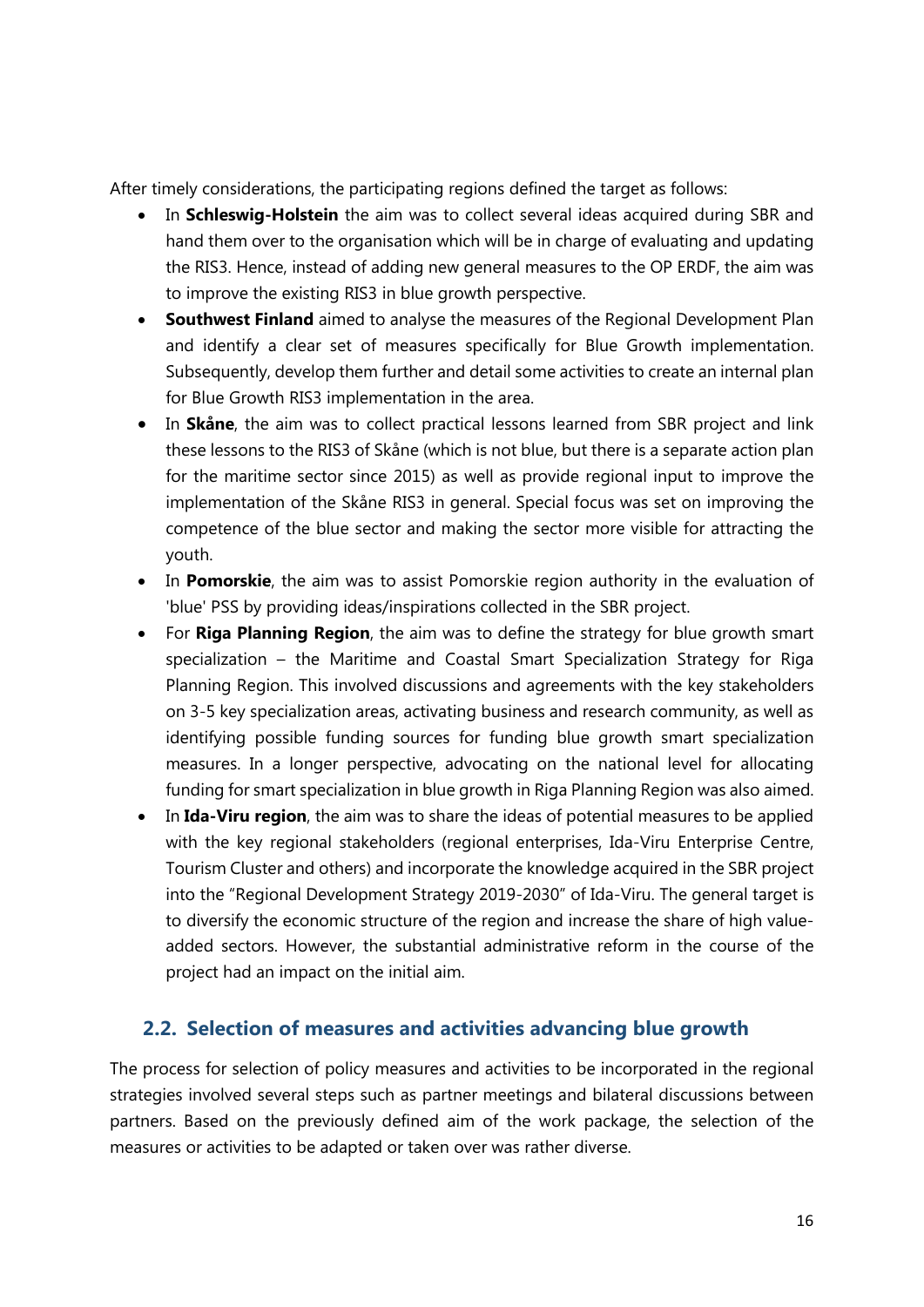After timely considerations, the participating regions defined the target as follows:

- In **Schleswig-Holstein** the aim was to collect several ideas acquired during SBR and hand them over to the organisation which will be in charge of evaluating and updating the RIS3. Hence, instead of adding new general measures to the OP ERDF, the aim was to improve the existing RIS3 in blue growth perspective.
- **Southwest Finland** aimed to analyse the measures of the Regional Development Plan and identify a clear set of measures specifically for Blue Growth implementation. Subsequently, develop them further and detail some activities to create an internal plan for Blue Growth RIS3 implementation in the area.
- In **Skåne**, the aim was to collect practical lessons learned from SBR project and link these lessons to the RIS3 of Skåne (which is not blue, but there is a separate action plan for the maritime sector since 2015) as well as provide regional input to improve the implementation of the Skåne RIS3 in general. Special focus was set on improving the competence of the blue sector and making the sector more visible for attracting the youth.
- In Pomorskie, the aim was to assist Pomorskie region authority in the evaluation of 'blue' PSS by providing ideas/inspirations collected in the SBR project.
- For **Riga Planning Region**, the aim was to define the strategy for blue growth smart specialization – the Maritime and Coastal Smart Specialization Strategy for Riga Planning Region. This involved discussions and agreements with the key stakeholders on 3-5 key specialization areas, activating business and research community, as well as identifying possible funding sources for funding blue growth smart specialization measures. In a longer perspective, advocating on the national level for allocating funding for smart specialization in blue growth in Riga Planning Region was also aimed.
- In **Ida-Viru region**, the aim was to share the ideas of potential measures to be applied with the key regional stakeholders (regional enterprises, Ida-Viru Enterprise Centre, Tourism Cluster and others) and incorporate the knowledge acquired in the SBR project into the "Regional Development Strategy 2019-2030" of Ida-Viru. The general target is to diversify the economic structure of the region and increase the share of high valueadded sectors. However, the substantial administrative reform in the course of the project had an impact on the initial aim.

#### **2.2. Selection of measures and activities advancing blue growth**

The process for selection of policy measures and activities to be incorporated in the regional strategies involved several steps such as partner meetings and bilateral discussions between partners. Based on the previously defined aim of the work package, the selection of the measures or activities to be adapted or taken over was rather diverse.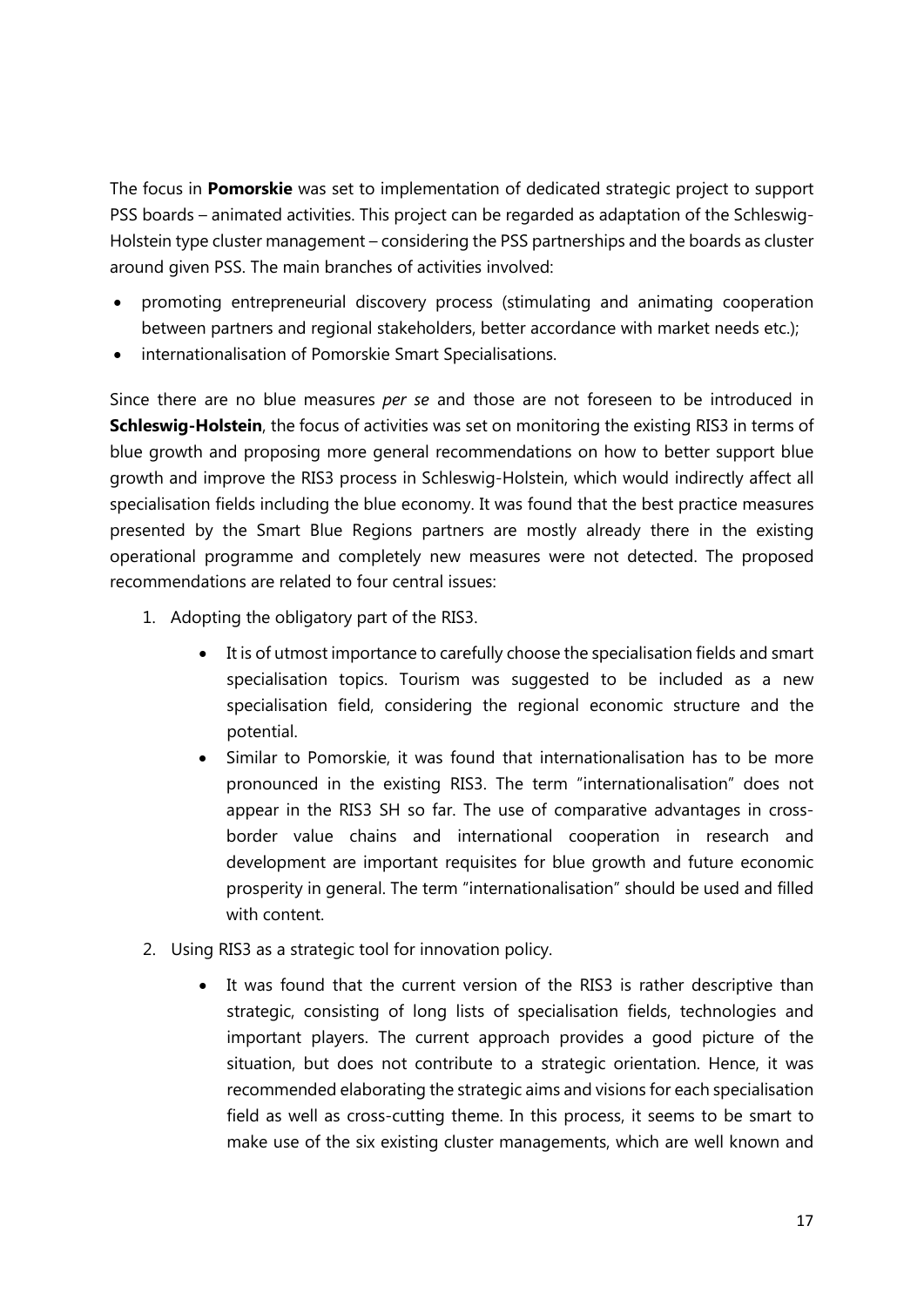The focus in **Pomorskie** was set to implementation of dedicated strategic project to support PSS boards – animated activities. This project can be regarded as adaptation of the Schleswig-Holstein type cluster management – considering the PSS partnerships and the boards as cluster around given PSS. The main branches of activities involved:

- promoting entrepreneurial discovery process (stimulating and animating cooperation between partners and regional stakeholders, better accordance with market needs etc.);
- internationalisation of Pomorskie Smart Specialisations.

Since there are no blue measures *per se* and those are not foreseen to be introduced in **Schleswig-Holstein**, the focus of activities was set on monitoring the existing RIS3 in terms of blue growth and proposing more general recommendations on how to better support blue growth and improve the RIS3 process in Schleswig-Holstein, which would indirectly affect all specialisation fields including the blue economy. It was found that the best practice measures presented by the Smart Blue Regions partners are mostly already there in the existing operational programme and completely new measures were not detected. The proposed recommendations are related to four central issues:

- 1. Adopting the obligatory part of the RIS3.
	- It is of utmost importance to carefully choose the specialisation fields and smart specialisation topics. Tourism was suggested to be included as a new specialisation field, considering the regional economic structure and the potential.
	- Similar to Pomorskie, it was found that internationalisation has to be more pronounced in the existing RIS3. The term "internationalisation" does not appear in the RIS3 SH so far. The use of comparative advantages in crossborder value chains and international cooperation in research and development are important requisites for blue growth and future economic prosperity in general. The term "internationalisation" should be used and filled with content.
- 2. Using RIS3 as a strategic tool for innovation policy.
	- It was found that the current version of the RIS3 is rather descriptive than strategic, consisting of long lists of specialisation fields, technologies and important players. The current approach provides a good picture of the situation, but does not contribute to a strategic orientation. Hence, it was recommended elaborating the strategic aims and visions for each specialisation field as well as cross-cutting theme. In this process, it seems to be smart to make use of the six existing cluster managements, which are well known and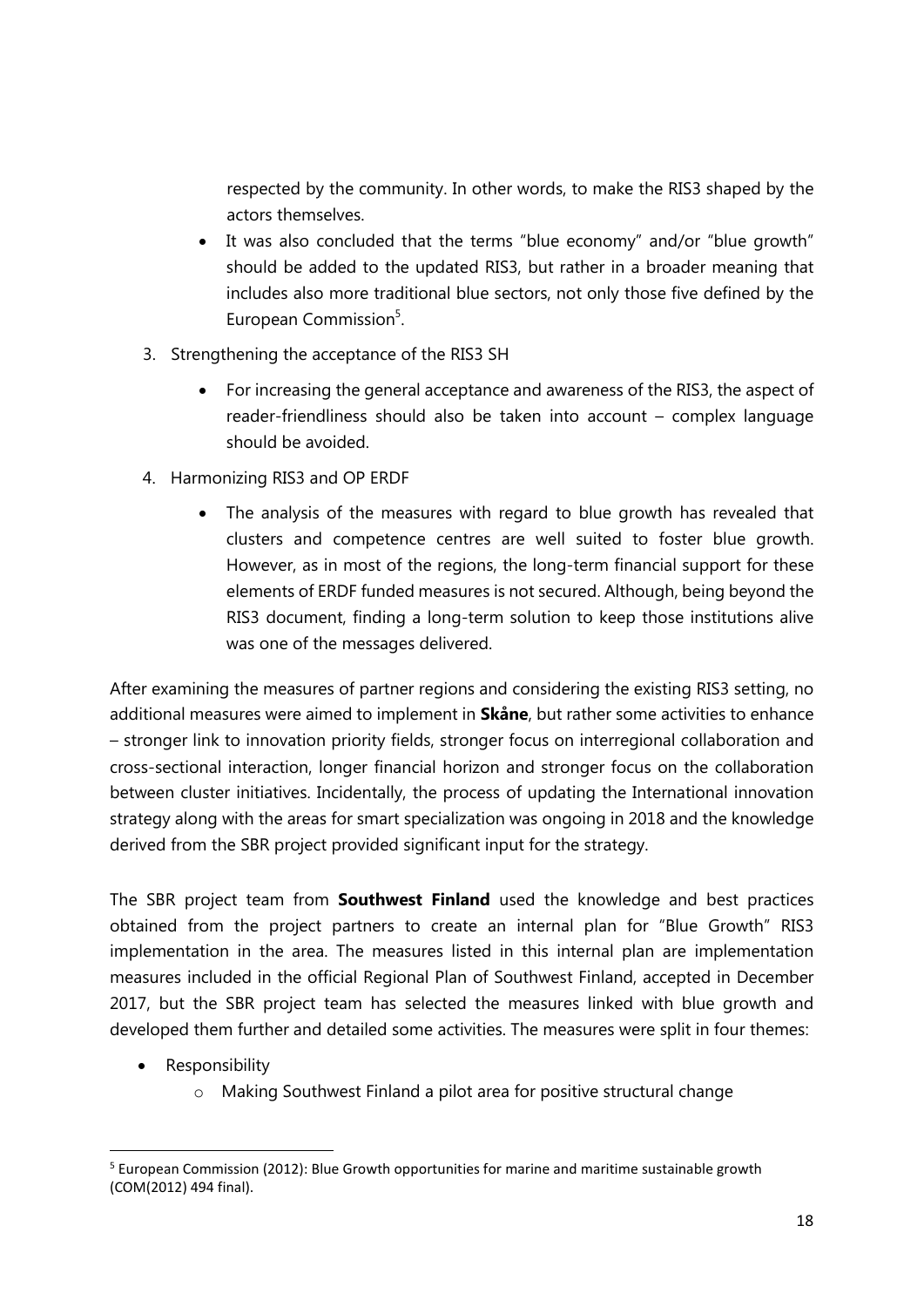respected by the community. In other words, to make the RIS3 shaped by the actors themselves.

- It was also concluded that the terms "blue economy" and/or "blue growth" should be added to the updated RIS3, but rather in a broader meaning that includes also more traditional blue sectors, not only those five defined by the European Commission<sup>5</sup>.
- 3. Strengthening the acceptance of the RIS3 SH
	- For increasing the general acceptance and awareness of the RIS3, the aspect of reader-friendliness should also be taken into account – complex language should be avoided.
- 4. Harmonizing RIS3 and OP ERDF
	- The analysis of the measures with regard to blue growth has revealed that clusters and competence centres are well suited to foster blue growth. However, as in most of the regions, the long-term financial support for these elements of ERDF funded measures is not secured. Although, being beyond the RIS3 document, finding a long-term solution to keep those institutions alive was one of the messages delivered.

After examining the measures of partner regions and considering the existing RIS3 setting, no additional measures were aimed to implement in **Skåne**, but rather some activities to enhance – stronger link to innovation priority fields, stronger focus on interregional collaboration and cross-sectional interaction, longer financial horizon and stronger focus on the collaboration between cluster initiatives. Incidentally, the process of updating the International innovation strategy along with the areas for smart specialization was ongoing in 2018 and the knowledge derived from the SBR project provided significant input for the strategy.

The SBR project team from **Southwest Finland** used the knowledge and best practices obtained from the project partners to create an internal plan for "Blue Growth" RIS3 implementation in the area. The measures listed in this internal plan are implementation measures included in the official Regional Plan of Southwest Finland, accepted in December 2017, but the SBR project team has selected the measures linked with blue growth and developed them further and detailed some activities. The measures were split in four themes:

- Responsibility
	- o Making Southwest Finland a pilot area for positive structural change

 $5$  European Commission (2012): Blue Growth opportunities for marine and maritime sustainable growth (COM(2012) 494 final).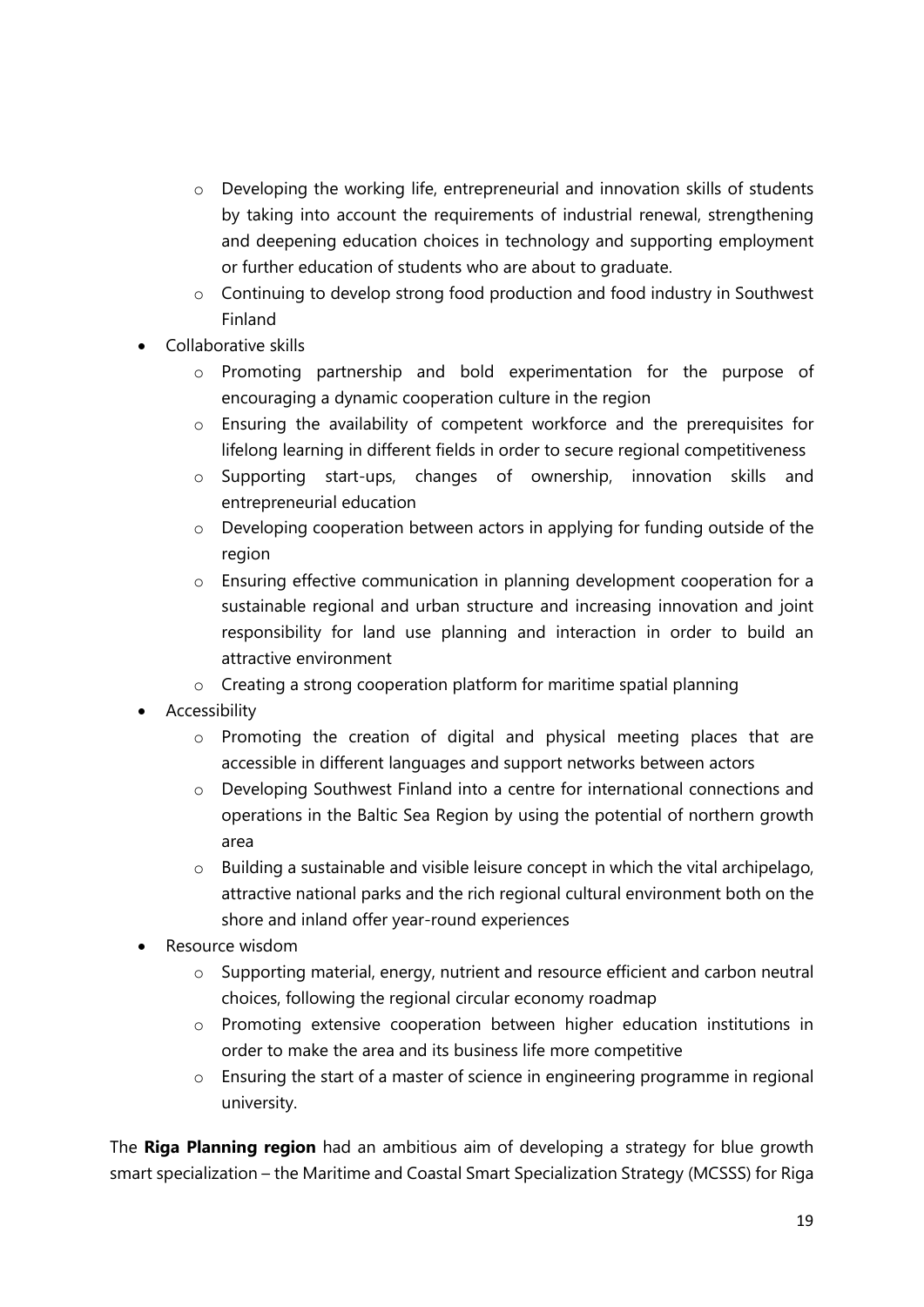- o Developing the working life, entrepreneurial and innovation skills of students by taking into account the requirements of industrial renewal, strengthening and deepening education choices in technology and supporting employment or further education of students who are about to graduate.
- o Continuing to develop strong food production and food industry in Southwest Finland
- Collaborative skills
	- o Promoting partnership and bold experimentation for the purpose of encouraging a dynamic cooperation culture in the region
	- o Ensuring the availability of competent workforce and the prerequisites for lifelong learning in different fields in order to secure regional competitiveness
	- o Supporting start-ups, changes of ownership, innovation skills and entrepreneurial education
	- o Developing cooperation between actors in applying for funding outside of the region
	- o Ensuring effective communication in planning development cooperation for a sustainable regional and urban structure and increasing innovation and joint responsibility for land use planning and interaction in order to build an attractive environment
	- o Creating a strong cooperation platform for maritime spatial planning
- Accessibility
	- o Promoting the creation of digital and physical meeting places that are accessible in different languages and support networks between actors
	- o Developing Southwest Finland into a centre for international connections and operations in the Baltic Sea Region by using the potential of northern growth area
	- o Building a sustainable and visible leisure concept in which the vital archipelago, attractive national parks and the rich regional cultural environment both on the shore and inland offer year-round experiences
- Resource wisdom
	- o Supporting material, energy, nutrient and resource efficient and carbon neutral choices, following the regional circular economy roadmap
	- o Promoting extensive cooperation between higher education institutions in order to make the area and its business life more competitive
	- o Ensuring the start of a master of science in engineering programme in regional university.

The **Riga Planning region** had an ambitious aim of developing a strategy for blue growth smart specialization – the Maritime and Coastal Smart Specialization Strategy (MCSSS) for Riga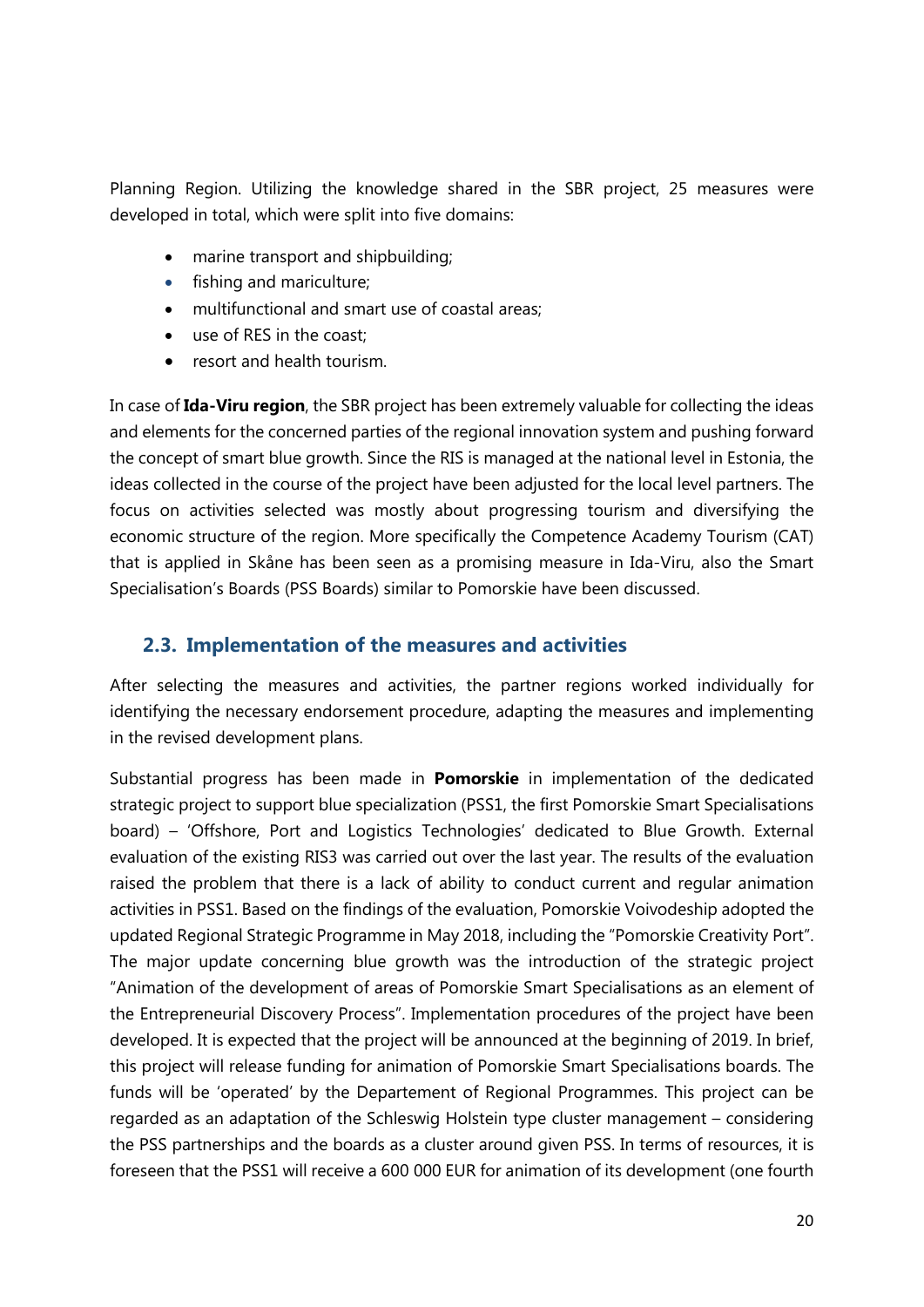Planning Region. Utilizing the knowledge shared in the SBR project, 25 measures were developed in total, which were split into five domains:

- marine transport and shipbuilding;
- fishing and mariculture;
- multifunctional and smart use of coastal areas;
- use of RES in the coast;
- resort and health tourism.

In case of **Ida-Viru region**, the SBR project has been extremely valuable for collecting the ideas and elements for the concerned parties of the regional innovation system and pushing forward the concept of smart blue growth. Since the RIS is managed at the national level in Estonia, the ideas collected in the course of the project have been adjusted for the local level partners. The focus on activities selected was mostly about progressing tourism and diversifying the economic structure of the region. More specifically the Competence Academy Tourism (CAT) that is applied in Skåne has been seen as a promising measure in Ida-Viru, also the Smart Specialisation's Boards (PSS Boards) similar to Pomorskie have been discussed.

#### **2.3. Implementation of the measures and activities**

After selecting the measures and activities, the partner regions worked individually for identifying the necessary endorsement procedure, adapting the measures and implementing in the revised development plans.

Substantial progress has been made in **Pomorskie** in implementation of the dedicated strategic project to support blue specialization (PSS1, the first Pomorskie Smart Specialisations board) – 'Offshore, Port and Logistics Technologies' dedicated to Blue Growth. External evaluation of the existing RIS3 was carried out over the last year. The results of the evaluation raised the problem that there is a lack of ability to conduct current and regular animation activities in PSS1. Based on the findings of the evaluation, Pomorskie Voivodeship adopted the updated Regional Strategic Programme in May 2018, including the "Pomorskie Creativity Port". The major update concerning blue growth was the introduction of the strategic project "Animation of the development of areas of Pomorskie Smart Specialisations as an element of the Entrepreneurial Discovery Process". Implementation procedures of the project have been developed. It is expected that the project will be announced at the beginning of 2019. In brief, this project will release funding for animation of Pomorskie Smart Specialisations boards. The funds will be 'operated' by the Departement of Regional Programmes. This project can be regarded as an adaptation of the Schleswig Holstein type cluster management – considering the PSS partnerships and the boards as a cluster around given PSS. In terms of resources, it is foreseen that the PSS1 will receive a 600 000 EUR for animation of its development (one fourth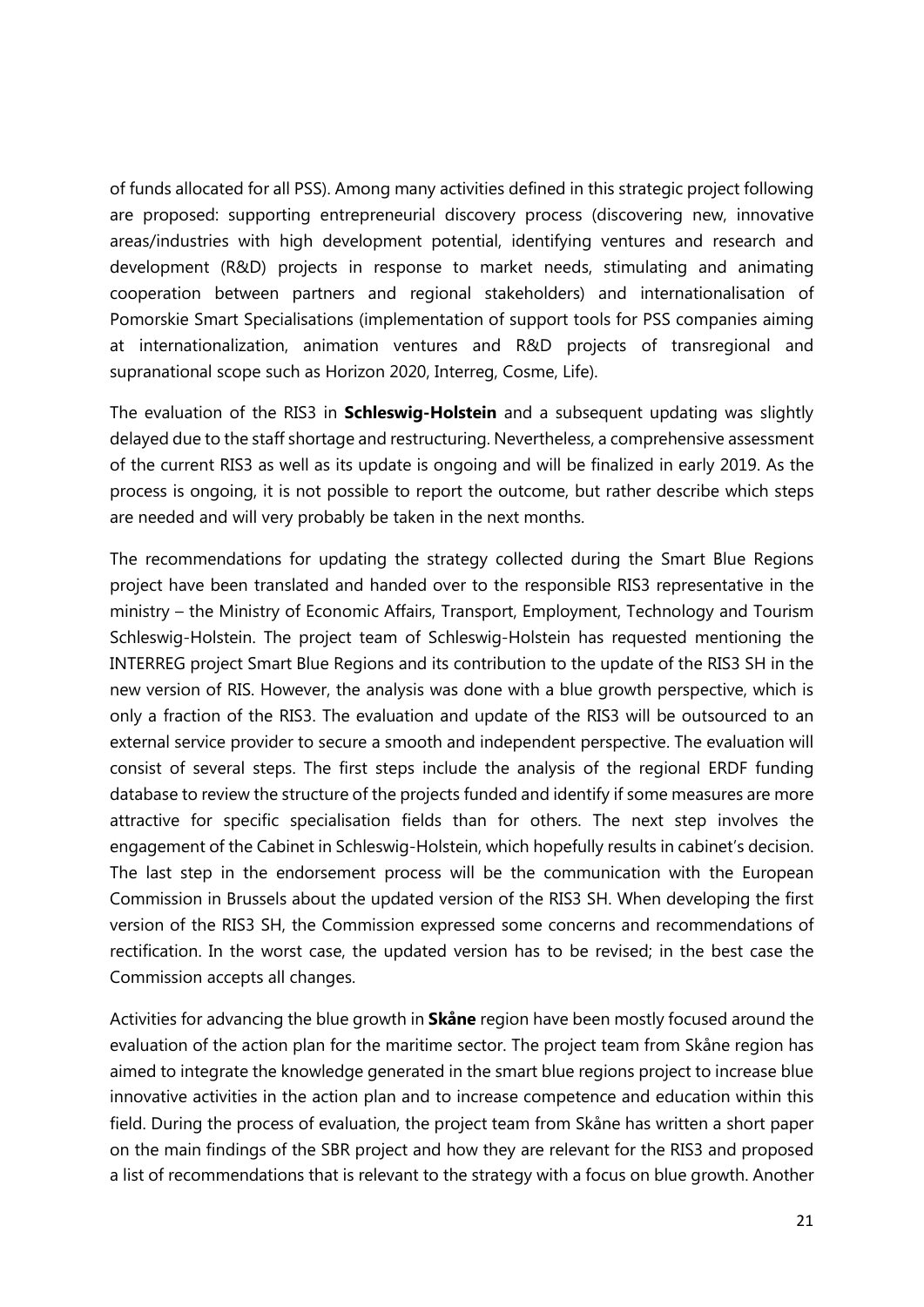of funds allocated for all PSS). Among many activities defined in this strategic project following are proposed: supporting entrepreneurial discovery process (discovering new, innovative areas/industries with high development potential, identifying ventures and research and development (R&D) projects in response to market needs, stimulating and animating cooperation between partners and regional stakeholders) and internationalisation of Pomorskie Smart Specialisations (implementation of support tools for PSS companies aiming at internationalization, animation ventures and R&D projects of transregional and supranational scope such as Horizon 2020, Interreg, Cosme, Life).

The evaluation of the RIS3 in **Schleswig-Holstein** and a subsequent updating was slightly delayed due to the staff shortage and restructuring. Nevertheless, a comprehensive assessment of the current RIS3 as well as its update is ongoing and will be finalized in early 2019. As the process is ongoing, it is not possible to report the outcome, but rather describe which steps are needed and will very probably be taken in the next months.

The recommendations for updating the strategy collected during the Smart Blue Regions project have been translated and handed over to the responsible RIS3 representative in the ministry – the Ministry of Economic Affairs, Transport, Employment, Technology and Tourism Schleswig-Holstein. The project team of Schleswig-Holstein has requested mentioning the INTERREG project Smart Blue Regions and its contribution to the update of the RIS3 SH in the new version of RIS. However, the analysis was done with a blue growth perspective, which is only a fraction of the RIS3. The evaluation and update of the RIS3 will be outsourced to an external service provider to secure a smooth and independent perspective. The evaluation will consist of several steps. The first steps include the analysis of the regional ERDF funding database to review the structure of the projects funded and identify if some measures are more attractive for specific specialisation fields than for others. The next step involves the engagement of the Cabinet in Schleswig-Holstein, which hopefully results in cabinet's decision. The last step in the endorsement process will be the communication with the European Commission in Brussels about the updated version of the RIS3 SH. When developing the first version of the RIS3 SH, the Commission expressed some concerns and recommendations of rectification. In the worst case, the updated version has to be revised; in the best case the Commission accepts all changes.

Activities for advancing the blue growth in **Skåne** region have been mostly focused around the evaluation of the action plan for the maritime sector. The project team from Skåne region has aimed to integrate the knowledge generated in the smart blue regions project to increase blue innovative activities in the action plan and to increase competence and education within this field. During the process of evaluation, the project team from Skåne has written a short paper on the main findings of the SBR project and how they are relevant for the RIS3 and proposed a list of recommendations that is relevant to the strategy with a focus on blue growth. Another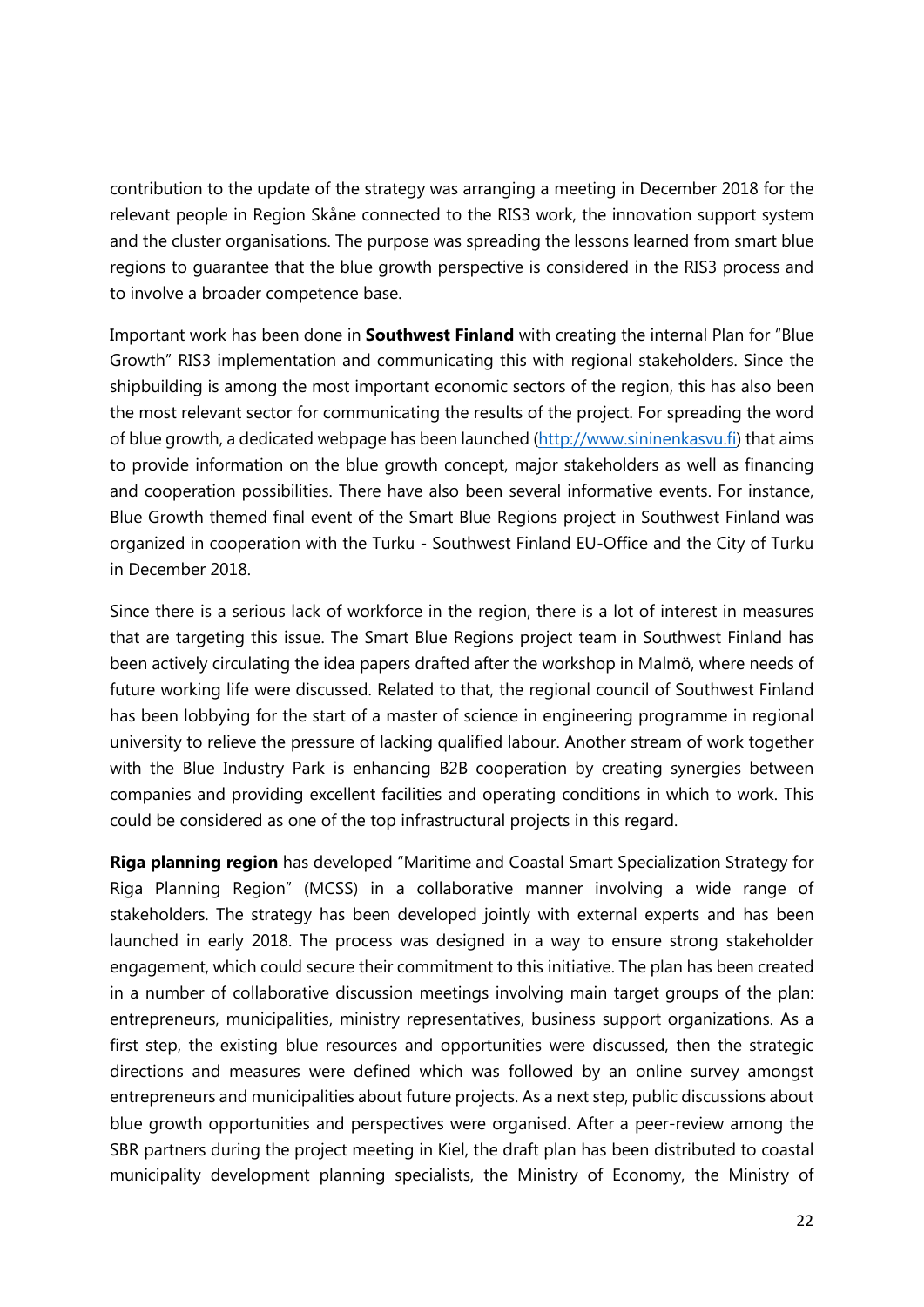contribution to the update of the strategy was arranging a meeting in December 2018 for the relevant people in Region Skåne connected to the RIS3 work, the innovation support system and the cluster organisations. The purpose was spreading the lessons learned from smart blue regions to guarantee that the blue growth perspective is considered in the RIS3 process and to involve a broader competence base.

Important work has been done in **Southwest Finland** with creating the internal Plan for "Blue Growth" RIS3 implementation and communicating this with regional stakeholders. Since the shipbuilding is among the most important economic sectors of the region, this has also been the most relevant sector for communicating the results of the project. For spreading the word of blue growth, a dedicated webpage has been launched (http://www.sininenkasvu.fi) that aims to provide information on the blue growth concept, major stakeholders as well as financing and cooperation possibilities. There have also been several informative events. For instance, Blue Growth themed final event of the Smart Blue Regions project in Southwest Finland was organized in cooperation with the Turku - Southwest Finland EU-Office and the City of Turku in December 2018.

Since there is a serious lack of workforce in the region, there is a lot of interest in measures that are targeting this issue. The Smart Blue Regions project team in Southwest Finland has been actively circulating the idea papers drafted after the workshop in Malmö, where needs of future working life were discussed. Related to that, the regional council of Southwest Finland has been lobbying for the start of a master of science in engineering programme in regional university to relieve the pressure of lacking qualified labour. Another stream of work together with the Blue Industry Park is enhancing B2B cooperation by creating synergies between companies and providing excellent facilities and operating conditions in which to work. This could be considered as one of the top infrastructural projects in this regard.

**Riga planning region** has developed "Maritime and Coastal Smart Specialization Strategy for Riga Planning Region" (MCSS) in a collaborative manner involving a wide range of stakeholders. The strategy has been developed jointly with external experts and has been launched in early 2018. The process was designed in a way to ensure strong stakeholder engagement, which could secure their commitment to this initiative. The plan has been created in a number of collaborative discussion meetings involving main target groups of the plan: entrepreneurs, municipalities, ministry representatives, business support organizations. As a first step, the existing blue resources and opportunities were discussed, then the strategic directions and measures were defined which was followed by an online survey amongst entrepreneurs and municipalities about future projects. As a next step, public discussions about blue growth opportunities and perspectives were organised. After a peer-review among the SBR partners during the project meeting in Kiel, the draft plan has been distributed to coastal municipality development planning specialists, the Ministry of Economy, the Ministry of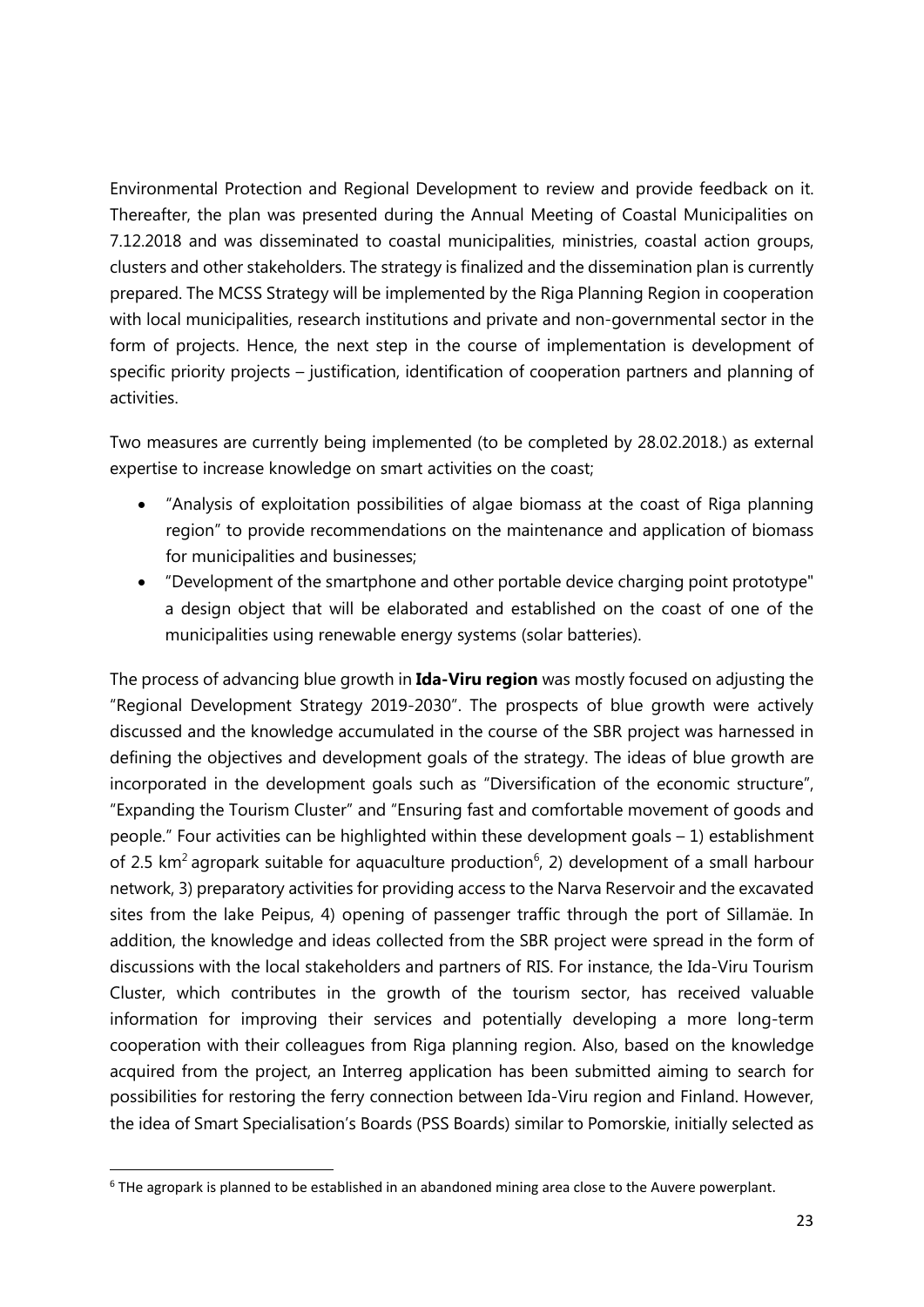Environmental Protection and Regional Development to review and provide feedback on it. Thereafter, the plan was presented during the Annual Meeting of Coastal Municipalities on 7.12.2018 and was disseminated to coastal municipalities, ministries, coastal action groups, clusters and other stakeholders. The strategy is finalized and the dissemination plan is currently prepared. The MCSS Strategy will be implemented by the Riga Planning Region in cooperation with local municipalities, research institutions and private and non-governmental sector in the form of projects. Hence, the next step in the course of implementation is development of specific priority projects – justification, identification of cooperation partners and planning of activities.

Two measures are currently being implemented (to be completed by 28.02.2018.) as external expertise to increase knowledge on smart activities on the coast;

- "Analysis of exploitation possibilities of algae biomass at the coast of Riga planning region" to provide recommendations on the maintenance and application of biomass for municipalities and businesses;
- "Development of the smartphone and other portable device charging point prototype" a design object that will be elaborated and established on the coast of one of the municipalities using renewable energy systems (solar batteries).

The process of advancing blue growth in **Ida-Viru region** was mostly focused on adjusting the "Regional Development Strategy 2019-2030". The prospects of blue growth were actively discussed and the knowledge accumulated in the course of the SBR project was harnessed in defining the objectives and development goals of the strategy. The ideas of blue growth are incorporated in the development goals such as "Diversification of the economic structure", "Expanding the Tourism Cluster" and "Ensuring fast and comfortable movement of goods and people." Four activities can be highlighted within these development goals – 1) establishment of 2.5 km<sup>2</sup> agropark suitable for aquaculture production<sup>6</sup>, 2) development of a small harbour network, 3) preparatory activities for providing access to the Narva Reservoir and the excavated sites from the lake Peipus, 4) opening of passenger traffic through the port of Sillamäe. In addition, the knowledge and ideas collected from the SBR project were spread in the form of discussions with the local stakeholders and partners of RIS. For instance, the Ida-Viru Tourism Cluster, which contributes in the growth of the tourism sector, has received valuable information for improving their services and potentially developing a more long-term cooperation with their colleagues from Riga planning region. Also, based on the knowledge acquired from the project, an Interreg application has been submitted aiming to search for possibilities for restoring the ferry connection between Ida-Viru region and Finland. However, the idea of Smart Specialisation's Boards (PSS Boards) similar to Pomorskie, initially selected as

<sup>&</sup>lt;sup>6</sup> THe agropark is planned to be established in an abandoned mining area close to the Auvere powerplant.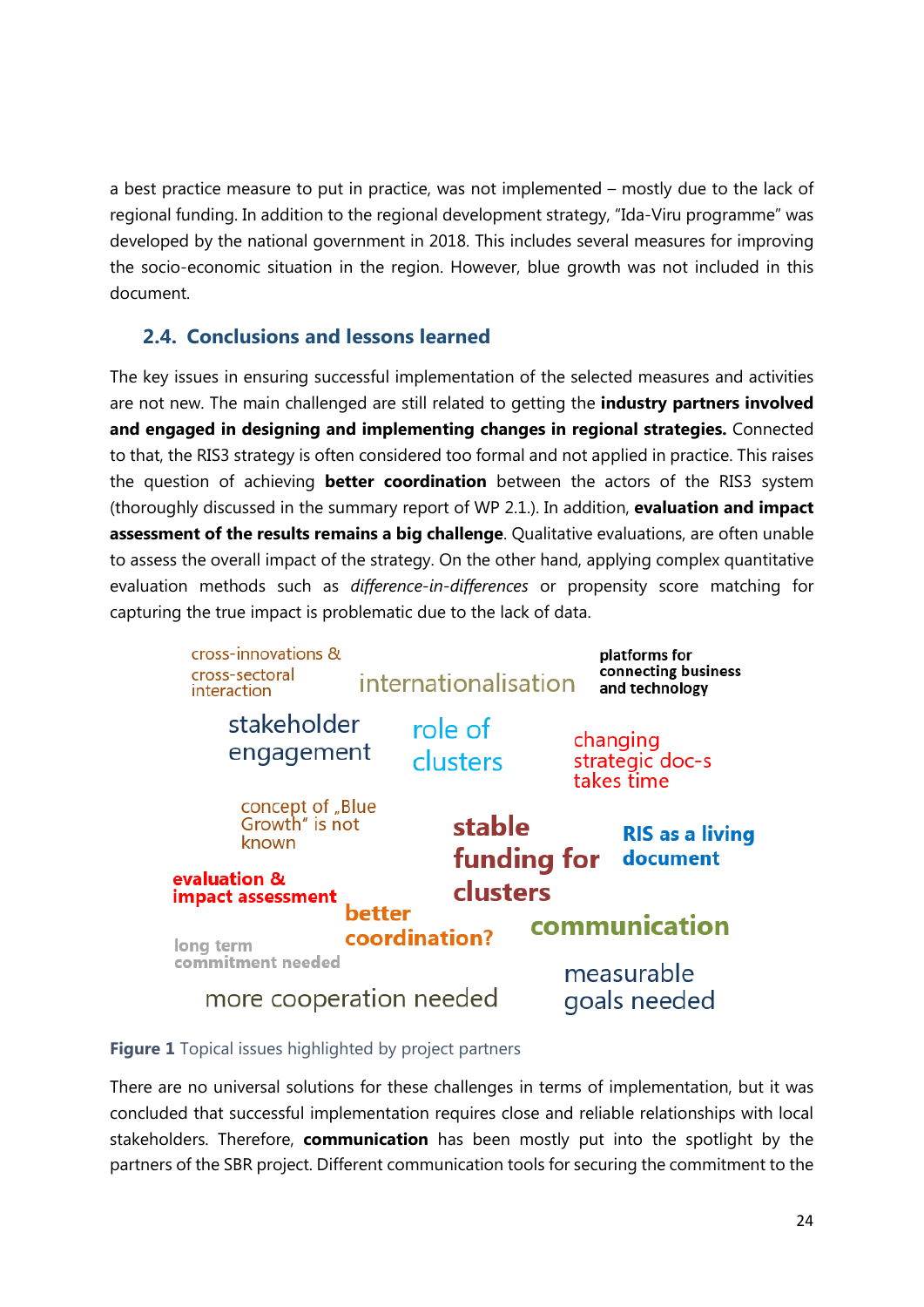a best practice measure to put in practice, was not implemented – mostly due to the lack of regional funding. In addition to the regional development strategy, "Ida-Viru programme" was developed by the national government in 2018. This includes several measures for improving the socio-economic situation in the region. However, blue growth was not included in this document.

#### **2.4. Conclusions and lessons learned**

The key issues in ensuring successful implementation of the selected measures and activities are not new. The main challenged are still related to getting the **industry partners involved and engaged in designing and implementing changes in regional strategies.** Connected to that, the RIS3 strategy is often considered too formal and not applied in practice. This raises the question of achieving **better coordination** between the actors of the RIS3 system (thoroughly discussed in the summary report of WP 2.1.). In addition, **evaluation and impact assessment of the results remains a big challenge**. Qualitative evaluations, are often unable to assess the overall impact of the strategy. On the other hand, applying complex quantitative evaluation methods such as *difference-in-differences* or propensity score matching for capturing the true impact is problematic due to the lack of data.



#### **Figure 1** Topical issues highlighted by project partners

There are no universal solutions for these challenges in terms of implementation, but it was concluded that successful implementation requires close and reliable relationships with local stakeholders. Therefore, **communication** has been mostly put into the spotlight by the partners of the SBR project. Different communication tools for securing the commitment to the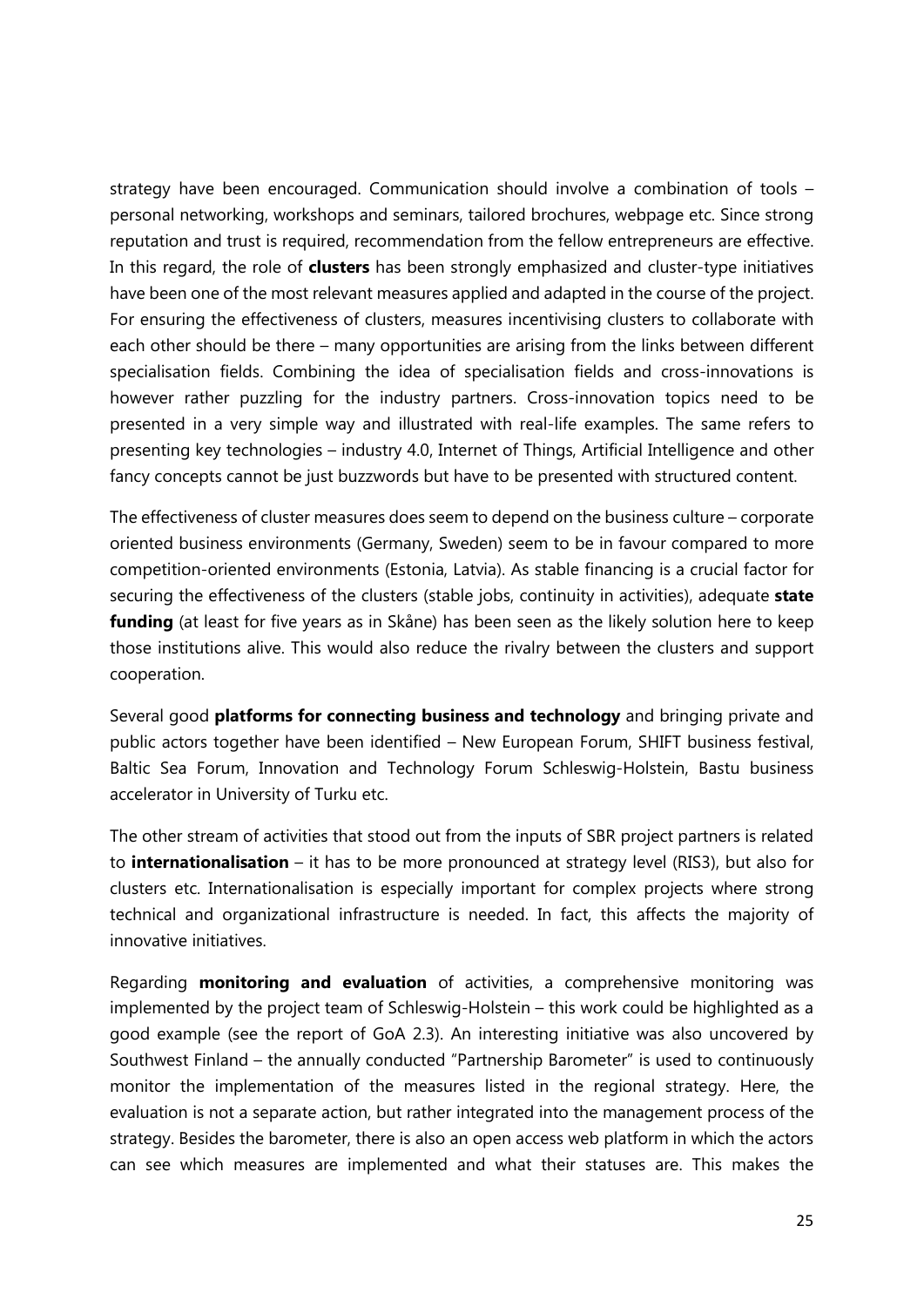strategy have been encouraged. Communication should involve a combination of tools – personal networking, workshops and seminars, tailored brochures, webpage etc. Since strong reputation and trust is required, recommendation from the fellow entrepreneurs are effective. In this regard, the role of **clusters** has been strongly emphasized and cluster-type initiatives have been one of the most relevant measures applied and adapted in the course of the project. For ensuring the effectiveness of clusters, measures incentivising clusters to collaborate with each other should be there – many opportunities are arising from the links between different specialisation fields. Combining the idea of specialisation fields and cross-innovations is however rather puzzling for the industry partners. Cross-innovation topics need to be presented in a very simple way and illustrated with real-life examples. The same refers to presenting key technologies – industry 4.0, Internet of Things, Artificial Intelligence and other fancy concepts cannot be just buzzwords but have to be presented with structured content.

The effectiveness of cluster measures does seem to depend on the business culture – corporate oriented business environments (Germany, Sweden) seem to be in favour compared to more competition-oriented environments (Estonia, Latvia). As stable financing is a crucial factor for securing the effectiveness of the clusters (stable jobs, continuity in activities), adequate **state funding** (at least for five years as in Skåne) has been seen as the likely solution here to keep those institutions alive. This would also reduce the rivalry between the clusters and support cooperation.

Several good **platforms for connecting business and technology** and bringing private and public actors together have been identified – New European Forum, SHIFT business festival, Baltic Sea Forum, Innovation and Technology Forum Schleswig-Holstein, Bastu business accelerator in University of Turku etc.

The other stream of activities that stood out from the inputs of SBR project partners is related to **internationalisation** – it has to be more pronounced at strategy level (RIS3), but also for clusters etc. Internationalisation is especially important for complex projects where strong technical and organizational infrastructure is needed. In fact, this affects the majority of innovative initiatives.

Regarding **monitoring and evaluation** of activities, a comprehensive monitoring was implemented by the project team of Schleswig-Holstein – this work could be highlighted as a good example (see the report of GoA 2.3). An interesting initiative was also uncovered by Southwest Finland – the annually conducted "Partnership Barometer" is used to continuously monitor the implementation of the measures listed in the regional strategy. Here, the evaluation is not a separate action, but rather integrated into the management process of the strategy. Besides the barometer, there is also an open access web platform in which the actors can see which measures are implemented and what their statuses are. This makes the